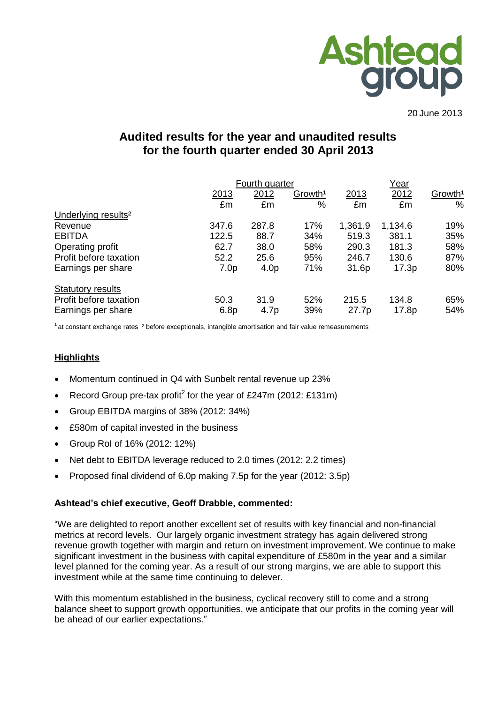

20 June 2013

# **Audited results for the year and unaudited results for the fourth quarter ended 30 April 2013**

|                                 | Fourth quarter   |                  | Year                |         |         |                     |
|---------------------------------|------------------|------------------|---------------------|---------|---------|---------------------|
|                                 | 2013             | 2012             | Growth <sup>1</sup> | 2013    | 2012    | Growth <sup>1</sup> |
|                                 | £m               | £m               | %                   | £m      | £m      | $\%$                |
| Underlying results <sup>2</sup> |                  |                  |                     |         |         |                     |
| Revenue                         | 347.6            | 287.8            | 17%                 | 1,361.9 | 1,134.6 | 19%                 |
| <b>EBITDA</b>                   | 122.5            | 88.7             | 34%                 | 519.3   | 381.1   | 35%                 |
| Operating profit                | 62.7             | 38.0             | 58%                 | 290.3   | 181.3   | 58%                 |
| Profit before taxation          | 52.2             | 25.6             | 95%                 | 246.7   | 130.6   | 87%                 |
| Earnings per share              | 7.0 <sub>p</sub> | 4.0 <sub>p</sub> | 71%                 | 31.6p   | 17.3p   | 80%                 |
| <b>Statutory results</b>        |                  |                  |                     |         |         |                     |
| Profit before taxation          | 50.3             | 31.9             | 52%                 | 215.5   | 134.8   | 65%                 |
| Earnings per share              | 6.8p             | 4.7p             | 39%                 | 27.7p   | 17.8p   | 54%                 |

 $1$  at constant exchange rates  $2$  before exceptionals, intangible amortisation and fair value remeasurements

## **Highlights**

- Momentum continued in Q4 with Sunbelt rental revenue up 23%
- Record Group pre-tax profit<sup>2</sup> for the year of £247m (2012: £131m)
- Group EBITDA margins of 38% (2012: 34%)
- £580m of capital invested in the business
- Group RoI of 16% (2012: 12%)
- Net debt to EBITDA leverage reduced to 2.0 times (2012: 2.2 times)
- Proposed final dividend of 6.0p making 7.5p for the year (2012: 3.5p)

#### **Ashtead's chief executive, Geoff Drabble, commented:**

"We are delighted to report another excellent set of results with key financial and non-financial metrics at record levels. Our largely organic investment strategy has again delivered strong revenue growth together with margin and return on investment improvement. We continue to make significant investment in the business with capital expenditure of £580m in the year and a similar level planned for the coming year. As a result of our strong margins, we are able to support this investment while at the same time continuing to delever.

With this momentum established in the business, cyclical recovery still to come and a strong balance sheet to support growth opportunities, we anticipate that our profits in the coming year will be ahead of our earlier expectations."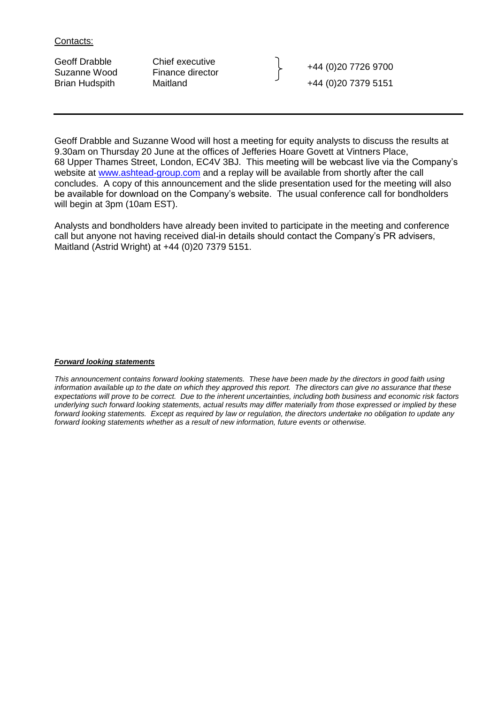Contacts:

Geoff Drabble Chief executive<br>
Suzanne Wood Finance director Finance Herberton (1980) 19726 9700 Brian Hudspith Maitland +44 (0)20 7379 5151

Geoff Drabble and Suzanne Wood will host a meeting for equity analysts to discuss the results at 9.30am on Thursday 20 June at the offices of Jefferies Hoare Govett at Vintners Place, 68 Upper Thames Street, London, EC4V 3BJ. This meeting will be webcast live via the Company's website at [www.ashtead-group.com](http://www.ashtead-group.com/) and a replay will be available from shortly after the call concludes. A copy of this announcement and the slide presentation used for the meeting will also be available for download on the Company's website. The usual conference call for bondholders will begin at 3pm (10am EST).

Analysts and bondholders have already been invited to participate in the meeting and conference call but anyone not having received dial-in details should contact the Company's PR advisers, Maitland (Astrid Wright) at +44 (0)20 7379 5151.

#### *Forward looking statements*

*This announcement contains forward looking statements. These have been made by the directors in good faith using information available up to the date on which they approved this report. The directors can give no assurance that these expectations will prove to be correct. Due to the inherent uncertainties, including both business and economic risk factors underlying such forward looking statements, actual results may differ materially from those expressed or implied by these forward looking statements. Except as required by law or regulation, the directors undertake no obligation to update any forward looking statements whether as a result of new information, future events or otherwise.*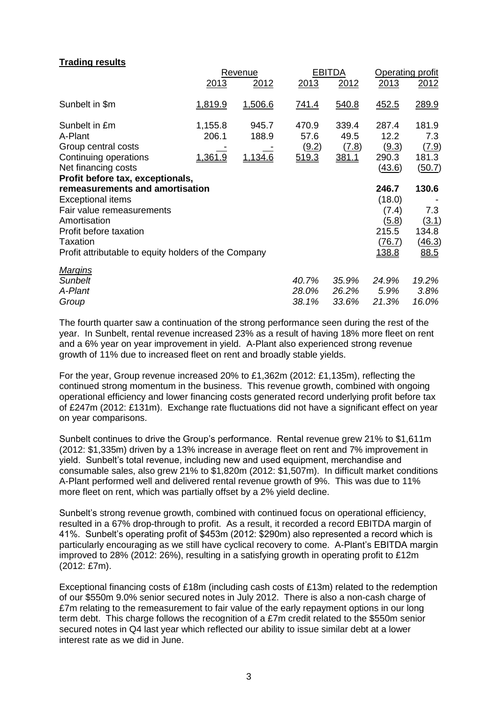## **Trading results**

|                                                                                                                                                                                                                                            |                             | Revenue                          |                                 | <b>EBITDA</b>                                 | Operating profit                                                            |                                                  |  |
|--------------------------------------------------------------------------------------------------------------------------------------------------------------------------------------------------------------------------------------------|-----------------------------|----------------------------------|---------------------------------|-----------------------------------------------|-----------------------------------------------------------------------------|--------------------------------------------------|--|
|                                                                                                                                                                                                                                            | 2013                        | 2012                             | 2013                            | 2012                                          | 2013                                                                        | 2012                                             |  |
| Sunbelt in \$m                                                                                                                                                                                                                             | 1,819.9                     | 1,506.6                          | <u>741.4</u>                    | 540.8                                         | 452.5                                                                       | 289.9                                            |  |
| Sunbelt in £m<br>A-Plant<br>Group central costs<br>Continuing operations<br>Net financing costs                                                                                                                                            | 1,155.8<br>206.1<br>1,361.9 | 945.7<br>188.9<br><u>1,134.6</u> | 470.9<br>57.6<br>(9.2)<br>519.3 | 339.4<br>49.5<br><u>(7.8)</u><br><u>381.1</u> | 287.4<br>12.2<br><u>(9.3)</u><br>290.3<br>(43.6)                            | 181.9<br>7.3<br><u>(7.9)</u><br>181.3<br>(50.7)  |  |
| Profit before tax, exceptionals,<br>remeasurements and amortisation<br>Exceptional items<br>Fair value remeasurements<br>Amortisation<br>Profit before taxation<br><b>Taxation</b><br>Profit attributable to equity holders of the Company |                             |                                  |                                 |                                               | 246.7<br>(18.0)<br>(7.4)<br><u>(5.8)</u><br>215.5<br>(76.7)<br><u>138.8</u> | 130.6<br>7.3<br>(3.1)<br>134.8<br>(46.3)<br>88.5 |  |
| <u>Marqins</u><br><b>Sunbelt</b><br>A-Plant<br>Group                                                                                                                                                                                       |                             |                                  | 40.7%<br>28.0%<br>38.1%         | 35.9%<br>26.2%<br>33.6%                       | 24.9%<br>5.9%<br>21.3%                                                      | 19.2%<br>3.8%<br>16.0%                           |  |

The fourth quarter saw a continuation of the strong performance seen during the rest of the year. In Sunbelt, rental revenue increased 23% as a result of having 18% more fleet on rent and a 6% year on year improvement in yield. A-Plant also experienced strong revenue growth of 11% due to increased fleet on rent and broadly stable yields.

For the year, Group revenue increased 20% to £1,362m (2012: £1,135m), reflecting the continued strong momentum in the business. This revenue growth, combined with ongoing operational efficiency and lower financing costs generated record underlying profit before tax of £247m (2012: £131m). Exchange rate fluctuations did not have a significant effect on year on year comparisons.

Sunbelt continues to drive the Group's performance. Rental revenue grew 21% to \$1,611m (2012: \$1,335m) driven by a 13% increase in average fleet on rent and 7% improvement in yield. Sunbelt's total revenue, including new and used equipment, merchandise and consumable sales, also grew 21% to \$1,820m (2012: \$1,507m). In difficult market conditions A-Plant performed well and delivered rental revenue growth of 9%. This was due to 11% more fleet on rent, which was partially offset by a 2% yield decline.

Sunbelt's strong revenue growth, combined with continued focus on operational efficiency, resulted in a 67% drop-through to profit. As a result, it recorded a record EBITDA margin of 41%. Sunbelt's operating profit of \$453m (2012: \$290m) also represented a record which is particularly encouraging as we still have cyclical recovery to come. A-Plant's EBITDA margin improved to 28% (2012: 26%), resulting in a satisfying growth in operating profit to £12m (2012: £7m).

Exceptional financing costs of £18m (including cash costs of £13m) related to the redemption of our \$550m 9.0% senior secured notes in July 2012. There is also a non-cash charge of £7m relating to the remeasurement to fair value of the early repayment options in our long term debt. This charge follows the recognition of a £7m credit related to the \$550m senior secured notes in Q4 last year which reflected our ability to issue similar debt at a lower interest rate as we did in June.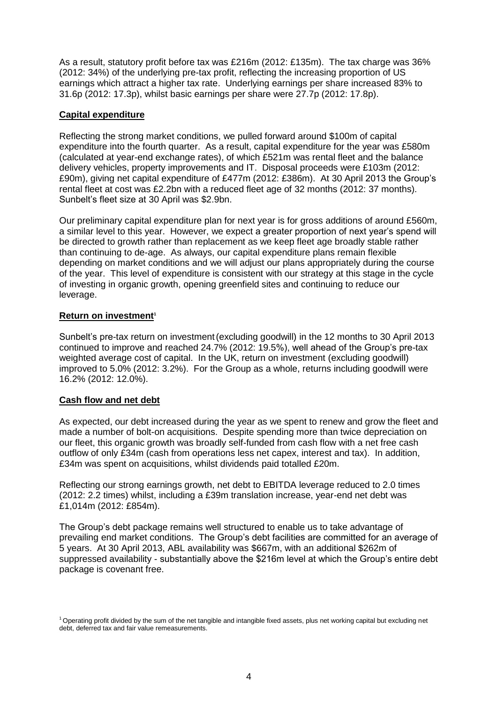As a result, statutory profit before tax was £216m (2012: £135m). The tax charge was 36% (2012: 34%) of the underlying pre-tax profit, reflecting the increasing proportion of US earnings which attract a higher tax rate. Underlying earnings per share increased 83% to 31.6p (2012: 17.3p), whilst basic earnings per share were 27.7p (2012: 17.8p).

## **Capital expenditure**

Reflecting the strong market conditions, we pulled forward around \$100m of capital expenditure into the fourth quarter. As a result, capital expenditure for the year was £580m (calculated at year-end exchange rates), of which £521m was rental fleet and the balance delivery vehicles, property improvements and IT. Disposal proceeds were £103m (2012: £90m), giving net capital expenditure of £477m (2012: £386m). At 30 April 2013 the Group's rental fleet at cost was £2.2bn with a reduced fleet age of 32 months (2012: 37 months). Sunbelt's fleet size at 30 April was \$2.9bn.

Our preliminary capital expenditure plan for next year is for gross additions of around £560m, a similar level to this year. However, we expect a greater proportion of next year's spend will be directed to growth rather than replacement as we keep fleet age broadly stable rather than continuing to de-age. As always, our capital expenditure plans remain flexible depending on market conditions and we will adjust our plans appropriately during the course of the year. This level of expenditure is consistent with our strategy at this stage in the cycle of investing in organic growth, opening greenfield sites and continuing to reduce our leverage.

## **Return on investment<sup>1</sup>**

Sunbelt's pre-tax return on investment(excluding goodwill) in the 12 months to 30 April 2013 continued to improve and reached 24.7% (2012: 19.5%), well ahead of the Group's pre-tax weighted average cost of capital. In the UK, return on investment (excluding goodwill) improved to 5.0% (2012: 3.2%). For the Group as a whole, returns including goodwill were 16.2% (2012: 12.0%).

## **Cash flow and net debt**

As expected, our debt increased during the year as we spent to renew and grow the fleet and made a number of bolt-on acquisitions. Despite spending more than twice depreciation on our fleet, this organic growth was broadly self-funded from cash flow with a net free cash outflow of only £34m (cash from operations less net capex, interest and tax). In addition, £34m was spent on acquisitions, whilst dividends paid totalled £20m.

Reflecting our strong earnings growth, net debt to EBITDA leverage reduced to 2.0 times (2012: 2.2 times) whilst, including a £39m translation increase, year-end net debt was £1,014m (2012: £854m).

The Group's debt package remains well structured to enable us to take advantage of prevailing end market conditions. The Group's debt facilities are committed for an average of 5 years. At 30 April 2013, ABL availability was \$667m, with an additional \$262m of suppressed availability - substantially above the \$216m level at which the Group's entire debt package is covenant free.

<sup>1</sup>Operating profit divided by the sum of the net tangible and intangible fixed assets, plus net working capital but excluding net debt, deferred tax and fair value remeasurements.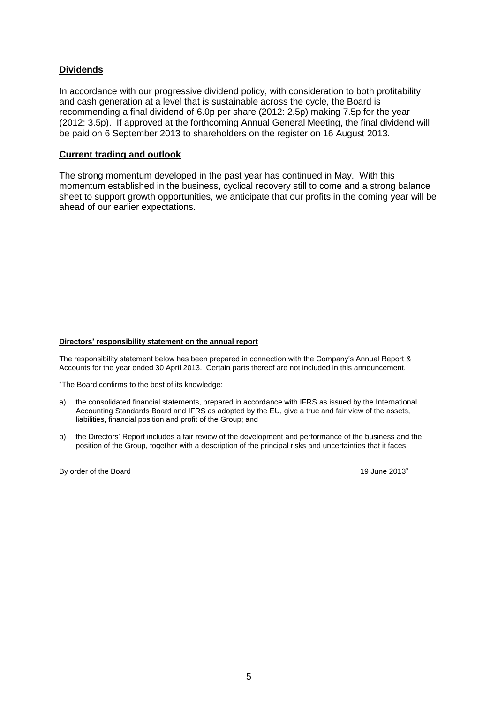## **Dividends**

In accordance with our progressive dividend policy, with consideration to both profitability and cash generation at a level that is sustainable across the cycle, the Board is recommending a final dividend of 6.0p per share (2012: 2.5p) making 7.5p for the year (2012: 3.5p). If approved at the forthcoming Annual General Meeting, the final dividend will be paid on 6 September 2013 to shareholders on the register on 16 August 2013.

#### **Current trading and outlook**

The strong momentum developed in the past year has continued in May. With this momentum established in the business, cyclical recovery still to come and a strong balance sheet to support growth opportunities, we anticipate that our profits in the coming year will be ahead of our earlier expectations.

#### **Directors' responsibility statement on the annual report**

The responsibility statement below has been prepared in connection with the Company's Annual Report & Accounts for the year ended 30 April 2013. Certain parts thereof are not included in this announcement.

"The Board confirms to the best of its knowledge:

- a) the consolidated financial statements, prepared in accordance with IFRS as issued by the International Accounting Standards Board and IFRS as adopted by the EU, give a true and fair view of the assets, liabilities, financial position and profit of the Group; and
- b) the Directors' Report includes a fair review of the development and performance of the business and the position of the Group, together with a description of the principal risks and uncertainties that it faces.

By order of the Board 19 June 2013"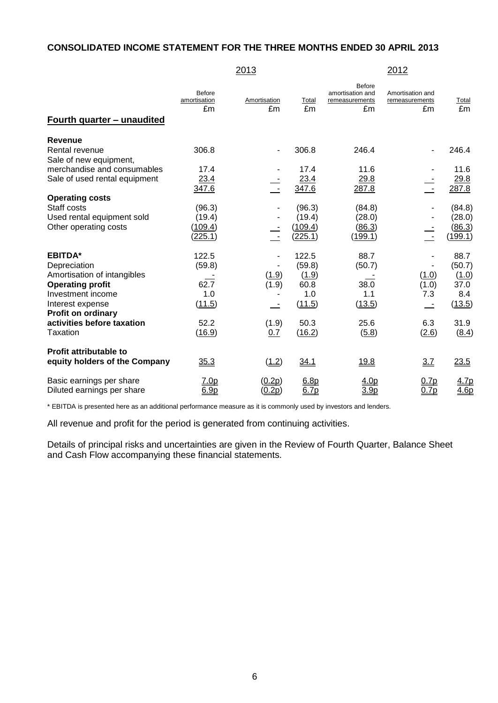## **CONSOLIDATED INCOME STATEMENT FOR THE THREE MONTHS ENDED 30 APRIL 2013**

|                                                                                                                                                                                              |                                                  | 2013                          |                                                           |                                                           | 2012                                                     |                                                          |
|----------------------------------------------------------------------------------------------------------------------------------------------------------------------------------------------|--------------------------------------------------|-------------------------------|-----------------------------------------------------------|-----------------------------------------------------------|----------------------------------------------------------|----------------------------------------------------------|
| <u>Fourth quarter - unaudited</u>                                                                                                                                                            | <b>Before</b><br>amortisation<br>£m              | Amortisation<br>£m            | Total<br>£m                                               | <b>Before</b><br>amortisation and<br>remeasurements<br>£m | Amortisation and<br>remeasurements<br>£m                 | Total<br>£m                                              |
| Revenue<br>Rental revenue<br>Sale of new equipment,                                                                                                                                          | 306.8                                            |                               | 306.8                                                     | 246.4                                                     |                                                          | 246.4                                                    |
| merchandise and consumables<br>Sale of used rental equipment                                                                                                                                 | 17.4<br>23.4<br>347.6                            |                               | 17.4<br>23.4<br>347.6                                     | 11.6<br>29.8<br>287.8                                     | $\overline{\phantom{a}}$                                 | 11.6<br><u>29.8</u><br>287.8                             |
| <b>Operating costs</b><br>Staff costs<br>Used rental equipment sold<br>Other operating costs                                                                                                 | (96.3)<br>(19.4)<br>(109.4)<br>(225.1)           |                               | (96.3)<br>(19.4)<br>(109.4)<br>(225.1)                    | (84.8)<br>(28.0)<br>(86.3)<br>(199.1)                     |                                                          | (84.8)<br>(28.0)<br>(86.3)<br>(199.1)                    |
| <b>EBITDA*</b><br>Depreciation<br>Amortisation of intangibles<br><b>Operating profit</b><br>Investment income<br>Interest expense<br><b>Profit on ordinary</b><br>activities before taxation | 122.5<br>(59.8)<br>62.7<br>1.0<br>(11.5)<br>52.2 | (1.9)<br>(1.9)<br>÷.<br>(1.9) | 122.5<br>(59.8)<br>(1.9)<br>60.8<br>1.0<br>(11.5)<br>50.3 | 88.7<br>(50.7)<br>38.0<br>1.1<br>(13.5)<br>25.6           | (1.0)<br>(1.0)<br>7.3<br>$\overline{\phantom{a}}$<br>6.3 | 88.7<br>(50.7)<br>(1.0)<br>37.0<br>8.4<br>(13.5)<br>31.9 |
| Taxation<br><b>Profit attributable to</b><br>equity holders of the Company                                                                                                                   | (16.9)<br>35.3                                   | 0.7<br>(1.2)                  | (16.2)<br>34.1                                            | (5.8)<br>19.8                                             | (2.6)<br>3.7                                             | (8.4)<br>23.5                                            |
| Basic earnings per share<br>Diluted earnings per share                                                                                                                                       | 7.0 <sub>p</sub><br>6.9 <sub>D</sub>             | (0.2p)<br>(0.2p)              | 6.8 <sub>p</sub><br>6.7p                                  | 4.0p<br>3.9 <sub>p</sub>                                  | 0.7p<br>0.7p                                             | 4.7p<br>4.6p                                             |

\* EBITDA is presented here as an additional performance measure as it is commonly used by investors and lenders.

All revenue and profit for the period is generated from continuing activities.

Details of principal risks and uncertainties are given in the Review of Fourth Quarter, Balance Sheet and Cash Flow accompanying these financial statements.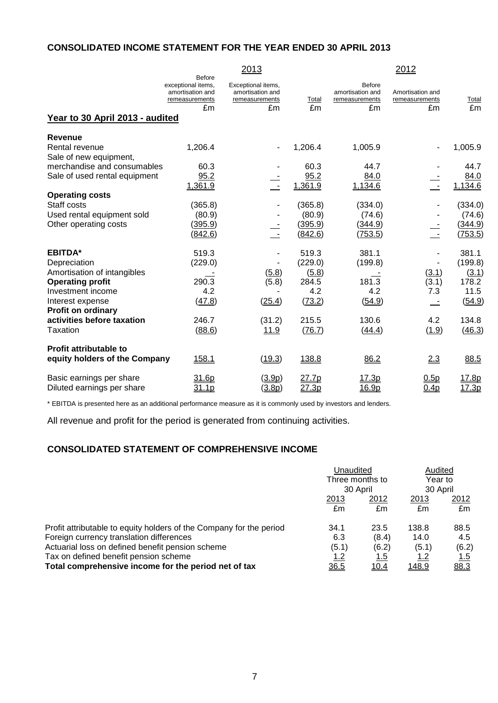## **CONSOLIDATED INCOME STATEMENT FOR THE YEAR ENDED 30 APRIL 2013**

|                                                        |                                                                          | 2013                                                           |                   |                                                    | 2012                                     |                   |
|--------------------------------------------------------|--------------------------------------------------------------------------|----------------------------------------------------------------|-------------------|----------------------------------------------------|------------------------------------------|-------------------|
| Year to 30 April 2013 - audited                        | Before<br>exceptional items,<br>amortisation and<br>remeasurements<br>£m | Exceptional items,<br>amortisation and<br>remeasurements<br>£m | Total<br>£m       | Before<br>amortisation and<br>remeasurements<br>£m | Amortisation and<br>remeasurements<br>£m | Total<br>£m       |
| <b>Revenue</b>                                         |                                                                          |                                                                |                   |                                                    |                                          |                   |
| Rental revenue<br>Sale of new equipment,               | 1,206.4                                                                  |                                                                | 1,206.4           | 1,005.9                                            |                                          | 1,005.9           |
| merchandise and consumables                            | 60.3                                                                     |                                                                | 60.3              | 44.7                                               |                                          | 44.7              |
| Sale of used rental equipment                          | 95.2<br>1,361.9                                                          | $\sim$                                                         | 95.2<br>1,361.9   | 84.0<br>1,134.6                                    | $\sim$ $-$                               | 84.0<br>1,134.6   |
| <b>Operating costs</b>                                 |                                                                          |                                                                |                   |                                                    |                                          |                   |
| Staff costs<br>Used rental equipment sold              | (365.8)<br>(80.9)                                                        |                                                                | (365.8)<br>(80.9) | (334.0)<br>(74.6)                                  |                                          | (334.0)<br>(74.6) |
| Other operating costs                                  | (395.9)                                                                  |                                                                | (395.9)           | (344.9)                                            |                                          | (344.9)           |
|                                                        | (842.6)                                                                  | $\sim$ $-$                                                     | (842.6)           | (753.5)                                            | $\sim$                                   | (753.5)           |
| <b>EBITDA*</b>                                         | 519.3                                                                    |                                                                | 519.3             | 381.1                                              |                                          | 381.1             |
| Depreciation                                           | (229.0)                                                                  |                                                                | (229.0)           | (199.8)                                            |                                          | (199.8)           |
| Amortisation of intangibles                            |                                                                          | (5.8)                                                          | (5.8)             |                                                    | (3.1)                                    | (3.1)             |
| <b>Operating profit</b><br>Investment income           | 290.3<br>4.2                                                             | (5.8)                                                          | 284.5<br>4.2      | 181.3<br>4.2                                       | (3.1)<br>7.3                             | 178.2<br>11.5     |
| Interest expense                                       | (47.8)                                                                   | (25.4)                                                         | (73.2)            | (54.9)                                             |                                          | (54.9)            |
| <b>Profit on ordinary</b>                              |                                                                          |                                                                |                   |                                                    |                                          |                   |
| activities before taxation                             | 246.7                                                                    | (31.2)                                                         | 215.5             | 130.6                                              | 4.2                                      | 134.8             |
| Taxation                                               | (88.6)                                                                   | <u>11.9</u>                                                    | (76.7)            | (44.4)                                             | (1.9)                                    | (46.3)            |
| <b>Profit attributable to</b>                          |                                                                          |                                                                |                   |                                                    |                                          |                   |
| equity holders of the Company                          | 158.1                                                                    | (19.3)                                                         | 138.8             | 86.2                                               | 2.3                                      | 88.5              |
| Basic earnings per share<br>Diluted earnings per share | 31.6p<br>31.1p                                                           | (3.9p)<br>(3.8p)                                               | 27.7p<br>27.3p    | 17.3p<br>16.9p                                     | 0.5p<br>0.4p                             | 17.8p<br>17.3p    |

\* EBITDA is presented here as an additional performance measure as it is commonly used by investors and lenders.

All revenue and profit for the period is generated from continuing activities.

## **CONSOLIDATED STATEMENT OF COMPREHENSIVE INCOME**

|                                                                     | Unaudited                   |              | Audited             |               |
|---------------------------------------------------------------------|-----------------------------|--------------|---------------------|---------------|
|                                                                     | Three months to<br>30 April |              | Year to<br>30 April |               |
|                                                                     |                             |              |                     |               |
|                                                                     | 2013                        | <u> 2012</u> | <u> 2013</u>        | <u> 2012 </u> |
|                                                                     | £m                          | £m           | £m                  | £m            |
| Profit attributable to equity holders of the Company for the period | 34.1                        | 23.5         | 138.8               | 88.5          |
| Foreign currency translation differences                            | 6.3                         | (8.4)        | 14.0                | 4.5           |
| Actuarial loss on defined benefit pension scheme                    | (5.1)                       | (6.2)        | (5.1)               | (6.2)         |
| Tax on defined benefit pension scheme                               | <u> 1.2</u>                 | <u> 1.5</u>  | <u> 1.2</u>         | <u>1.5</u>    |
| Total comprehensive income for the period net of tax                | 36.5                        | <u>10.4</u>  | <u>148.9</u>        | 88.3          |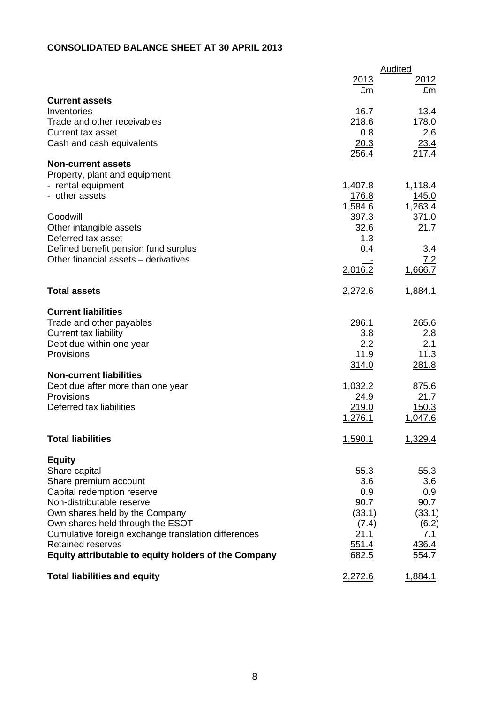# **CONSOLIDATED BALANCE SHEET AT 30 APRIL 2013**

|                                                                                         |               | Audited       |
|-----------------------------------------------------------------------------------------|---------------|---------------|
|                                                                                         | 2013<br>£m    | 2012<br>£m    |
| <b>Current assets</b>                                                                   |               |               |
| Inventories                                                                             | 16.7          | 13.4          |
| Trade and other receivables                                                             | 218.6         | 178.0         |
| <b>Current tax asset</b>                                                                | 0.8           | 2.6           |
| Cash and cash equivalents                                                               | 20.3<br>256.4 | 23.4<br>217.4 |
| <b>Non-current assets</b>                                                               |               |               |
| Property, plant and equipment                                                           |               |               |
| - rental equipment                                                                      | 1,407.8       | 1,118.4       |
| - other assets                                                                          | 176.8         | 145.0         |
|                                                                                         | 1,584.6       | 1,263.4       |
| Goodwill                                                                                | 397.3<br>32.6 | 371.0<br>21.7 |
| Other intangible assets<br>Deferred tax asset                                           | 1.3           |               |
| Defined benefit pension fund surplus                                                    | 0.4           | 3.4           |
| Other financial assets - derivatives                                                    |               | 7.2           |
|                                                                                         | 2,016.2       | 1,666.7       |
| <b>Total assets</b>                                                                     | 2,272.6       | 1,884.1       |
| <b>Current liabilities</b>                                                              |               |               |
| Trade and other payables                                                                | 296.1         | 265.6         |
| <b>Current tax liability</b>                                                            | 3.8           | 2.8           |
| Debt due within one year                                                                | 2.2           | 2.1           |
| Provisions                                                                              | 11.9          | 11.3          |
|                                                                                         | 314.0         | 281.8         |
| <b>Non-current liabilities</b><br>Debt due after more than one year                     | 1,032.2       | 875.6         |
| Provisions                                                                              | 24.9          | 21.7          |
| Deferred tax liabilities                                                                | 219.0         | 150.3         |
|                                                                                         | 1,276.1       | 1,047.6       |
|                                                                                         |               |               |
| <b>Total liabilities</b>                                                                | 1,590.1       | 1,329.4       |
| <b>Equity</b>                                                                           |               |               |
| Share capital                                                                           | 55.3          | 55.3          |
| Share premium account                                                                   | 3.6           | 3.6           |
| Capital redemption reserve                                                              | 0.9           | 0.9           |
| Non-distributable reserve                                                               | 90.7          | 90.7          |
| Own shares held by the Company                                                          | (33.1)        | (33.1)        |
| Own shares held through the ESOT<br>Cumulative foreign exchange translation differences | (7.4)<br>21.1 | (6.2)<br>7.1  |
| <b>Retained reserves</b>                                                                | 551.4         | 436.4         |
| Equity attributable to equity holders of the Company                                    | 682.5         | 554.7         |
| <b>Total liabilities and equity</b>                                                     | 2,272.6       | 1,884.1       |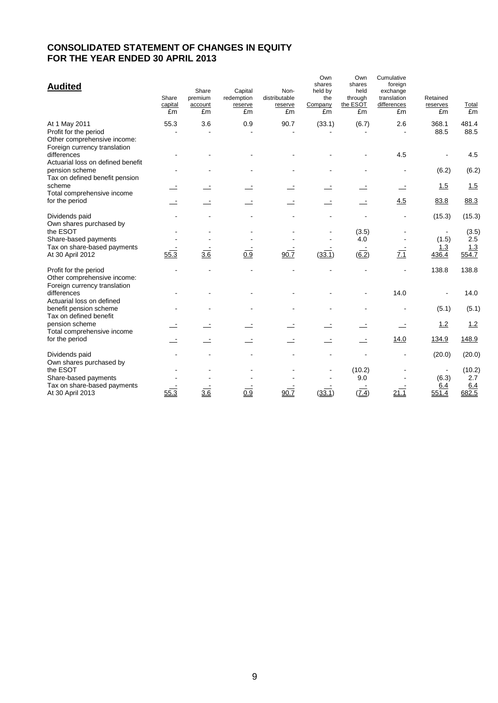## **CONSOLIDATED STATEMENT OF CHANGES IN EQUITY FOR THE YEAR ENDED 30 APRIL 2013**

| <b>Audited</b>                                                                                                 | Share<br>capital<br>£m | Share<br>premium<br>account<br>£m | Capital<br>redemption<br>reserve<br>£m | Non-<br>distributable<br>reserve<br>£m | Own<br>shares<br>held by<br>the<br>Company<br>£m | Own<br>shares<br>held<br>through<br>the ESOT<br>£m | Cumulative<br>foreign<br>exchange<br>translation<br>differences<br>£m | Retained<br>reserves<br>£m | Total<br>£m                  |
|----------------------------------------------------------------------------------------------------------------|------------------------|-----------------------------------|----------------------------------------|----------------------------------------|--------------------------------------------------|----------------------------------------------------|-----------------------------------------------------------------------|----------------------------|------------------------------|
| At 1 May 2011<br>Profit for the period<br>Other comprehensive income:<br>Foreign currency translation          | 55.3                   | 3.6                               | 0.9                                    | 90.7                                   | (33.1)                                           | (6.7)                                              | 2.6                                                                   | 368.1<br>88.5              | 481.4<br>88.5                |
| differences<br>Actuarial loss on defined benefit                                                               |                        |                                   |                                        |                                        |                                                  |                                                    | 4.5                                                                   |                            | 4.5                          |
| pension scheme<br>Tax on defined benefit pension                                                               |                        |                                   |                                        |                                        |                                                  |                                                    |                                                                       | (6.2)                      | (6.2)                        |
| scheme<br>Total comprehensive income                                                                           |                        |                                   |                                        |                                        |                                                  |                                                    |                                                                       | 1.5                        | 1.5                          |
| for the period                                                                                                 |                        |                                   |                                        |                                        |                                                  |                                                    | 4.5                                                                   | 83.8                       | 88.3                         |
| Dividends paid                                                                                                 |                        |                                   |                                        |                                        |                                                  |                                                    |                                                                       | (15.3)                     | (15.3)                       |
| Own shares purchased by<br>the ESOT<br>Share-based payments<br>Tax on share-based payments<br>At 30 April 2012 | 55.3                   | $\overline{3.6}$                  | $\overline{0.9}$                       | 90.7                                   | (33.1)                                           | (3.5)<br>4.0<br>$(\overline{6.2})$                 | 7.1                                                                   | (1.5)<br>1.3<br>436.4      | (3.5)<br>2.5<br>1.3<br>554.7 |
| Profit for the period<br>Other comprehensive income:<br>Foreign currency translation                           |                        |                                   |                                        |                                        |                                                  |                                                    |                                                                       | 138.8                      | 138.8                        |
| differences<br>Actuarial loss on defined                                                                       |                        |                                   |                                        |                                        |                                                  |                                                    | 14.0                                                                  |                            | 14.0                         |
| benefit pension scheme<br>Tax on defined benefit                                                               |                        |                                   |                                        |                                        |                                                  |                                                    |                                                                       | (5.1)                      | (5.1)                        |
| pension scheme<br>Total comprehensive income                                                                   |                        |                                   |                                        |                                        |                                                  |                                                    |                                                                       | 1.2                        | 1.2                          |
| for the period                                                                                                 |                        |                                   |                                        |                                        |                                                  |                                                    | 14.0                                                                  | 134.9                      | 148.9                        |
| Dividends paid<br>Own shares purchased by                                                                      |                        |                                   |                                        |                                        |                                                  |                                                    |                                                                       | (20.0)                     | (20.0)                       |
| the ESOT<br>Share-based payments<br>Tax on share-based payments                                                |                        |                                   |                                        |                                        |                                                  | (10.2)<br>9.0                                      |                                                                       | (6.3)<br>6.4               | (10.2)<br>2.7<br>6.4         |
| At 30 April 2013                                                                                               | 55.3                   | 3.6                               | 0.9                                    | 90.7                                   | (33.1)                                           | (Z.4)                                              | 21.1                                                                  | 551.4                      | 682.5                        |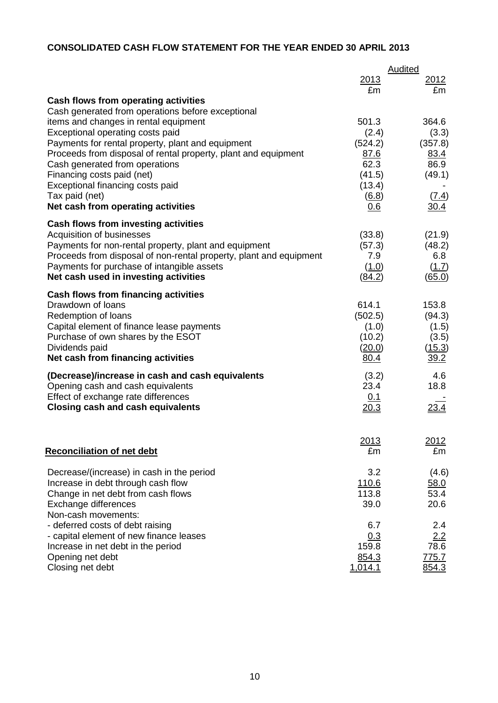# **CONSOLIDATED CASH FLOW STATEMENT FOR THE YEAR ENDED 30 APRIL 2013**

| <u>2013</u><br>2012<br>£m<br>£m<br>Cash flows from operating activities<br>Cash generated from operations before exceptional<br>items and changes in rental equipment<br>501.3<br>364.6<br>Exceptional operating costs paid<br>(2.4)<br>(3.3)<br>(524.2)<br>Payments for rental property, plant and equipment<br>(357.8)<br>Proceeds from disposal of rental property, plant and equipment<br>83.4<br>87.6<br>62.3<br>86.9<br>Cash generated from operations<br>(49.1)<br>Financing costs paid (net)<br>(41.5)<br>Exceptional financing costs paid<br>(13.4)<br>Tax paid (net)<br>$\underline{(6.8)}$<br><u>(7.4)</u><br>Net cash from operating activities<br>30.4<br>0.6<br>Cash flows from investing activities<br>(33.8)<br>Acquisition of businesses<br>(21.9)<br>Payments for non-rental property, plant and equipment<br>(57.3)<br>(48.2)<br>Proceeds from disposal of non-rental property, plant and equipment<br>7.9<br>6.8<br>Payments for purchase of intangible assets<br>(1.0)<br>(1.7)<br>Net cash used in investing activities<br>(84.2)<br>(65.0)<br>Cash flows from financing activities<br>Drawdown of loans<br>614.1<br>153.8<br>Redemption of loans<br>(502.5)<br>(94.3)<br>Capital element of finance lease payments<br>(1.0)<br>(1.5)<br>Purchase of own shares by the ESOT<br>(10.2)<br>(3.5)<br>Dividends paid<br>(20.0)<br>(15.3)<br>Net cash from financing activities<br>80.4<br><u>39.2</u><br>4.6<br>(Decrease)/increase in cash and cash equivalents<br>(3.2)<br>23.4<br>18.8<br>Opening cash and cash equivalents<br>Effect of exchange rate differences<br>0.1<br><u>23.4</u><br><b>Closing cash and cash equivalents</b><br><u>20.3</u><br><u> 2013</u><br><u> 2012 </u><br><b>Reconciliation of net debt</b><br>£m<br>£m<br>3.2<br>Decrease/(increase) in cash in the period<br>(4.6)<br>110.6<br>Increase in debt through cash flow<br>58.0<br>113.8<br>53.4<br>Change in net debt from cash flows<br>20.6<br>39.0<br>Exchange differences<br>Non-cash movements:<br>- deferred costs of debt raising<br>6.7<br>2.4<br>- capital element of new finance leases<br>2.2<br>0.3<br>159.8<br>78.6<br>Increase in net debt in the period<br>854.3<br>775.7<br>Opening net debt<br>Closing net debt<br>1,014.1<br>854.3 |  | <b>Audited</b> |
|------------------------------------------------------------------------------------------------------------------------------------------------------------------------------------------------------------------------------------------------------------------------------------------------------------------------------------------------------------------------------------------------------------------------------------------------------------------------------------------------------------------------------------------------------------------------------------------------------------------------------------------------------------------------------------------------------------------------------------------------------------------------------------------------------------------------------------------------------------------------------------------------------------------------------------------------------------------------------------------------------------------------------------------------------------------------------------------------------------------------------------------------------------------------------------------------------------------------------------------------------------------------------------------------------------------------------------------------------------------------------------------------------------------------------------------------------------------------------------------------------------------------------------------------------------------------------------------------------------------------------------------------------------------------------------------------------------------------------------------------------------------------------------------------------------------------------------------------------------------------------------------------------------------------------------------------------------------------------------------------------------------------------------------------------------------------------------------------------------------------------------------------------------------------------------------------------------------------------------------------------|--|----------------|
|                                                                                                                                                                                                                                                                                                                                                                                                                                                                                                                                                                                                                                                                                                                                                                                                                                                                                                                                                                                                                                                                                                                                                                                                                                                                                                                                                                                                                                                                                                                                                                                                                                                                                                                                                                                                                                                                                                                                                                                                                                                                                                                                                                                                                                                      |  |                |
|                                                                                                                                                                                                                                                                                                                                                                                                                                                                                                                                                                                                                                                                                                                                                                                                                                                                                                                                                                                                                                                                                                                                                                                                                                                                                                                                                                                                                                                                                                                                                                                                                                                                                                                                                                                                                                                                                                                                                                                                                                                                                                                                                                                                                                                      |  |                |
|                                                                                                                                                                                                                                                                                                                                                                                                                                                                                                                                                                                                                                                                                                                                                                                                                                                                                                                                                                                                                                                                                                                                                                                                                                                                                                                                                                                                                                                                                                                                                                                                                                                                                                                                                                                                                                                                                                                                                                                                                                                                                                                                                                                                                                                      |  |                |
|                                                                                                                                                                                                                                                                                                                                                                                                                                                                                                                                                                                                                                                                                                                                                                                                                                                                                                                                                                                                                                                                                                                                                                                                                                                                                                                                                                                                                                                                                                                                                                                                                                                                                                                                                                                                                                                                                                                                                                                                                                                                                                                                                                                                                                                      |  |                |
|                                                                                                                                                                                                                                                                                                                                                                                                                                                                                                                                                                                                                                                                                                                                                                                                                                                                                                                                                                                                                                                                                                                                                                                                                                                                                                                                                                                                                                                                                                                                                                                                                                                                                                                                                                                                                                                                                                                                                                                                                                                                                                                                                                                                                                                      |  |                |
|                                                                                                                                                                                                                                                                                                                                                                                                                                                                                                                                                                                                                                                                                                                                                                                                                                                                                                                                                                                                                                                                                                                                                                                                                                                                                                                                                                                                                                                                                                                                                                                                                                                                                                                                                                                                                                                                                                                                                                                                                                                                                                                                                                                                                                                      |  |                |
|                                                                                                                                                                                                                                                                                                                                                                                                                                                                                                                                                                                                                                                                                                                                                                                                                                                                                                                                                                                                                                                                                                                                                                                                                                                                                                                                                                                                                                                                                                                                                                                                                                                                                                                                                                                                                                                                                                                                                                                                                                                                                                                                                                                                                                                      |  |                |
|                                                                                                                                                                                                                                                                                                                                                                                                                                                                                                                                                                                                                                                                                                                                                                                                                                                                                                                                                                                                                                                                                                                                                                                                                                                                                                                                                                                                                                                                                                                                                                                                                                                                                                                                                                                                                                                                                                                                                                                                                                                                                                                                                                                                                                                      |  |                |
|                                                                                                                                                                                                                                                                                                                                                                                                                                                                                                                                                                                                                                                                                                                                                                                                                                                                                                                                                                                                                                                                                                                                                                                                                                                                                                                                                                                                                                                                                                                                                                                                                                                                                                                                                                                                                                                                                                                                                                                                                                                                                                                                                                                                                                                      |  |                |
|                                                                                                                                                                                                                                                                                                                                                                                                                                                                                                                                                                                                                                                                                                                                                                                                                                                                                                                                                                                                                                                                                                                                                                                                                                                                                                                                                                                                                                                                                                                                                                                                                                                                                                                                                                                                                                                                                                                                                                                                                                                                                                                                                                                                                                                      |  |                |
|                                                                                                                                                                                                                                                                                                                                                                                                                                                                                                                                                                                                                                                                                                                                                                                                                                                                                                                                                                                                                                                                                                                                                                                                                                                                                                                                                                                                                                                                                                                                                                                                                                                                                                                                                                                                                                                                                                                                                                                                                                                                                                                                                                                                                                                      |  |                |
|                                                                                                                                                                                                                                                                                                                                                                                                                                                                                                                                                                                                                                                                                                                                                                                                                                                                                                                                                                                                                                                                                                                                                                                                                                                                                                                                                                                                                                                                                                                                                                                                                                                                                                                                                                                                                                                                                                                                                                                                                                                                                                                                                                                                                                                      |  |                |
|                                                                                                                                                                                                                                                                                                                                                                                                                                                                                                                                                                                                                                                                                                                                                                                                                                                                                                                                                                                                                                                                                                                                                                                                                                                                                                                                                                                                                                                                                                                                                                                                                                                                                                                                                                                                                                                                                                                                                                                                                                                                                                                                                                                                                                                      |  |                |
|                                                                                                                                                                                                                                                                                                                                                                                                                                                                                                                                                                                                                                                                                                                                                                                                                                                                                                                                                                                                                                                                                                                                                                                                                                                                                                                                                                                                                                                                                                                                                                                                                                                                                                                                                                                                                                                                                                                                                                                                                                                                                                                                                                                                                                                      |  |                |
|                                                                                                                                                                                                                                                                                                                                                                                                                                                                                                                                                                                                                                                                                                                                                                                                                                                                                                                                                                                                                                                                                                                                                                                                                                                                                                                                                                                                                                                                                                                                                                                                                                                                                                                                                                                                                                                                                                                                                                                                                                                                                                                                                                                                                                                      |  |                |
|                                                                                                                                                                                                                                                                                                                                                                                                                                                                                                                                                                                                                                                                                                                                                                                                                                                                                                                                                                                                                                                                                                                                                                                                                                                                                                                                                                                                                                                                                                                                                                                                                                                                                                                                                                                                                                                                                                                                                                                                                                                                                                                                                                                                                                                      |  |                |
|                                                                                                                                                                                                                                                                                                                                                                                                                                                                                                                                                                                                                                                                                                                                                                                                                                                                                                                                                                                                                                                                                                                                                                                                                                                                                                                                                                                                                                                                                                                                                                                                                                                                                                                                                                                                                                                                                                                                                                                                                                                                                                                                                                                                                                                      |  |                |
|                                                                                                                                                                                                                                                                                                                                                                                                                                                                                                                                                                                                                                                                                                                                                                                                                                                                                                                                                                                                                                                                                                                                                                                                                                                                                                                                                                                                                                                                                                                                                                                                                                                                                                                                                                                                                                                                                                                                                                                                                                                                                                                                                                                                                                                      |  |                |
|                                                                                                                                                                                                                                                                                                                                                                                                                                                                                                                                                                                                                                                                                                                                                                                                                                                                                                                                                                                                                                                                                                                                                                                                                                                                                                                                                                                                                                                                                                                                                                                                                                                                                                                                                                                                                                                                                                                                                                                                                                                                                                                                                                                                                                                      |  |                |
|                                                                                                                                                                                                                                                                                                                                                                                                                                                                                                                                                                                                                                                                                                                                                                                                                                                                                                                                                                                                                                                                                                                                                                                                                                                                                                                                                                                                                                                                                                                                                                                                                                                                                                                                                                                                                                                                                                                                                                                                                                                                                                                                                                                                                                                      |  |                |
|                                                                                                                                                                                                                                                                                                                                                                                                                                                                                                                                                                                                                                                                                                                                                                                                                                                                                                                                                                                                                                                                                                                                                                                                                                                                                                                                                                                                                                                                                                                                                                                                                                                                                                                                                                                                                                                                                                                                                                                                                                                                                                                                                                                                                                                      |  |                |
|                                                                                                                                                                                                                                                                                                                                                                                                                                                                                                                                                                                                                                                                                                                                                                                                                                                                                                                                                                                                                                                                                                                                                                                                                                                                                                                                                                                                                                                                                                                                                                                                                                                                                                                                                                                                                                                                                                                                                                                                                                                                                                                                                                                                                                                      |  |                |
|                                                                                                                                                                                                                                                                                                                                                                                                                                                                                                                                                                                                                                                                                                                                                                                                                                                                                                                                                                                                                                                                                                                                                                                                                                                                                                                                                                                                                                                                                                                                                                                                                                                                                                                                                                                                                                                                                                                                                                                                                                                                                                                                                                                                                                                      |  |                |
|                                                                                                                                                                                                                                                                                                                                                                                                                                                                                                                                                                                                                                                                                                                                                                                                                                                                                                                                                                                                                                                                                                                                                                                                                                                                                                                                                                                                                                                                                                                                                                                                                                                                                                                                                                                                                                                                                                                                                                                                                                                                                                                                                                                                                                                      |  |                |
|                                                                                                                                                                                                                                                                                                                                                                                                                                                                                                                                                                                                                                                                                                                                                                                                                                                                                                                                                                                                                                                                                                                                                                                                                                                                                                                                                                                                                                                                                                                                                                                                                                                                                                                                                                                                                                                                                                                                                                                                                                                                                                                                                                                                                                                      |  |                |
|                                                                                                                                                                                                                                                                                                                                                                                                                                                                                                                                                                                                                                                                                                                                                                                                                                                                                                                                                                                                                                                                                                                                                                                                                                                                                                                                                                                                                                                                                                                                                                                                                                                                                                                                                                                                                                                                                                                                                                                                                                                                                                                                                                                                                                                      |  |                |
|                                                                                                                                                                                                                                                                                                                                                                                                                                                                                                                                                                                                                                                                                                                                                                                                                                                                                                                                                                                                                                                                                                                                                                                                                                                                                                                                                                                                                                                                                                                                                                                                                                                                                                                                                                                                                                                                                                                                                                                                                                                                                                                                                                                                                                                      |  |                |
|                                                                                                                                                                                                                                                                                                                                                                                                                                                                                                                                                                                                                                                                                                                                                                                                                                                                                                                                                                                                                                                                                                                                                                                                                                                                                                                                                                                                                                                                                                                                                                                                                                                                                                                                                                                                                                                                                                                                                                                                                                                                                                                                                                                                                                                      |  |                |
|                                                                                                                                                                                                                                                                                                                                                                                                                                                                                                                                                                                                                                                                                                                                                                                                                                                                                                                                                                                                                                                                                                                                                                                                                                                                                                                                                                                                                                                                                                                                                                                                                                                                                                                                                                                                                                                                                                                                                                                                                                                                                                                                                                                                                                                      |  |                |
|                                                                                                                                                                                                                                                                                                                                                                                                                                                                                                                                                                                                                                                                                                                                                                                                                                                                                                                                                                                                                                                                                                                                                                                                                                                                                                                                                                                                                                                                                                                                                                                                                                                                                                                                                                                                                                                                                                                                                                                                                                                                                                                                                                                                                                                      |  |                |
|                                                                                                                                                                                                                                                                                                                                                                                                                                                                                                                                                                                                                                                                                                                                                                                                                                                                                                                                                                                                                                                                                                                                                                                                                                                                                                                                                                                                                                                                                                                                                                                                                                                                                                                                                                                                                                                                                                                                                                                                                                                                                                                                                                                                                                                      |  |                |
|                                                                                                                                                                                                                                                                                                                                                                                                                                                                                                                                                                                                                                                                                                                                                                                                                                                                                                                                                                                                                                                                                                                                                                                                                                                                                                                                                                                                                                                                                                                                                                                                                                                                                                                                                                                                                                                                                                                                                                                                                                                                                                                                                                                                                                                      |  |                |
|                                                                                                                                                                                                                                                                                                                                                                                                                                                                                                                                                                                                                                                                                                                                                                                                                                                                                                                                                                                                                                                                                                                                                                                                                                                                                                                                                                                                                                                                                                                                                                                                                                                                                                                                                                                                                                                                                                                                                                                                                                                                                                                                                                                                                                                      |  |                |
|                                                                                                                                                                                                                                                                                                                                                                                                                                                                                                                                                                                                                                                                                                                                                                                                                                                                                                                                                                                                                                                                                                                                                                                                                                                                                                                                                                                                                                                                                                                                                                                                                                                                                                                                                                                                                                                                                                                                                                                                                                                                                                                                                                                                                                                      |  |                |
|                                                                                                                                                                                                                                                                                                                                                                                                                                                                                                                                                                                                                                                                                                                                                                                                                                                                                                                                                                                                                                                                                                                                                                                                                                                                                                                                                                                                                                                                                                                                                                                                                                                                                                                                                                                                                                                                                                                                                                                                                                                                                                                                                                                                                                                      |  |                |
|                                                                                                                                                                                                                                                                                                                                                                                                                                                                                                                                                                                                                                                                                                                                                                                                                                                                                                                                                                                                                                                                                                                                                                                                                                                                                                                                                                                                                                                                                                                                                                                                                                                                                                                                                                                                                                                                                                                                                                                                                                                                                                                                                                                                                                                      |  |                |
|                                                                                                                                                                                                                                                                                                                                                                                                                                                                                                                                                                                                                                                                                                                                                                                                                                                                                                                                                                                                                                                                                                                                                                                                                                                                                                                                                                                                                                                                                                                                                                                                                                                                                                                                                                                                                                                                                                                                                                                                                                                                                                                                                                                                                                                      |  |                |
|                                                                                                                                                                                                                                                                                                                                                                                                                                                                                                                                                                                                                                                                                                                                                                                                                                                                                                                                                                                                                                                                                                                                                                                                                                                                                                                                                                                                                                                                                                                                                                                                                                                                                                                                                                                                                                                                                                                                                                                                                                                                                                                                                                                                                                                      |  |                |
|                                                                                                                                                                                                                                                                                                                                                                                                                                                                                                                                                                                                                                                                                                                                                                                                                                                                                                                                                                                                                                                                                                                                                                                                                                                                                                                                                                                                                                                                                                                                                                                                                                                                                                                                                                                                                                                                                                                                                                                                                                                                                                                                                                                                                                                      |  |                |
|                                                                                                                                                                                                                                                                                                                                                                                                                                                                                                                                                                                                                                                                                                                                                                                                                                                                                                                                                                                                                                                                                                                                                                                                                                                                                                                                                                                                                                                                                                                                                                                                                                                                                                                                                                                                                                                                                                                                                                                                                                                                                                                                                                                                                                                      |  |                |
|                                                                                                                                                                                                                                                                                                                                                                                                                                                                                                                                                                                                                                                                                                                                                                                                                                                                                                                                                                                                                                                                                                                                                                                                                                                                                                                                                                                                                                                                                                                                                                                                                                                                                                                                                                                                                                                                                                                                                                                                                                                                                                                                                                                                                                                      |  |                |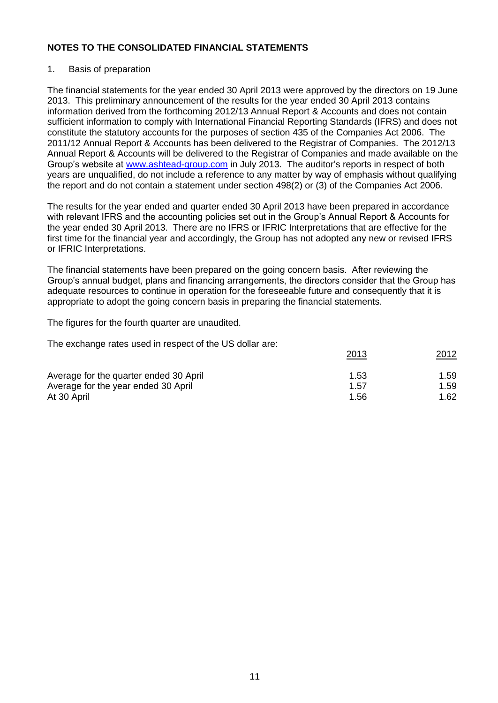## 1. Basis of preparation

The financial statements for the year ended 30 April 2013 were approved by the directors on 19 June 2013. This preliminary announcement of the results for the year ended 30 April 2013 contains information derived from the forthcoming 2012/13 Annual Report & Accounts and does not contain sufficient information to comply with International Financial Reporting Standards (IFRS) and does not constitute the statutory accounts for the purposes of section 435 of the Companies Act 2006. The 2011/12 Annual Report & Accounts has been delivered to the Registrar of Companies. The 2012/13 Annual Report & Accounts will be delivered to the Registrar of Companies and made available on the Group's website at [www.ashtead-group.com](http://www.ashtead-group.com/) in July 2013. The auditor's reports in respect of both years are unqualified, do not include a reference to any matter by way of emphasis without qualifying the report and do not contain a statement under section 498(2) or (3) of the Companies Act 2006.

The results for the year ended and quarter ended 30 April 2013 have been prepared in accordance with relevant IFRS and the accounting policies set out in the Group's Annual Report & Accounts for the year ended 30 April 2013. There are no IFRS or IFRIC Interpretations that are effective for the first time for the financial year and accordingly, the Group has not adopted any new or revised IFRS or IFRIC Interpretations.

The financial statements have been prepared on the going concern basis. After reviewing the Group's annual budget, plans and financing arrangements, the directors consider that the Group has adequate resources to continue in operation for the foreseeable future and consequently that it is appropriate to adopt the going concern basis in preparing the financial statements.

The figures for the fourth quarter are unaudited.

The exchange rates used in respect of the US dollar are:

|                                        | 2013 | 2012 |
|----------------------------------------|------|------|
| Average for the quarter ended 30 April | 1.53 | 1.59 |
| Average for the year ended 30 April    | 1.57 | 1.59 |
| At 30 April                            | 1.56 | 1.62 |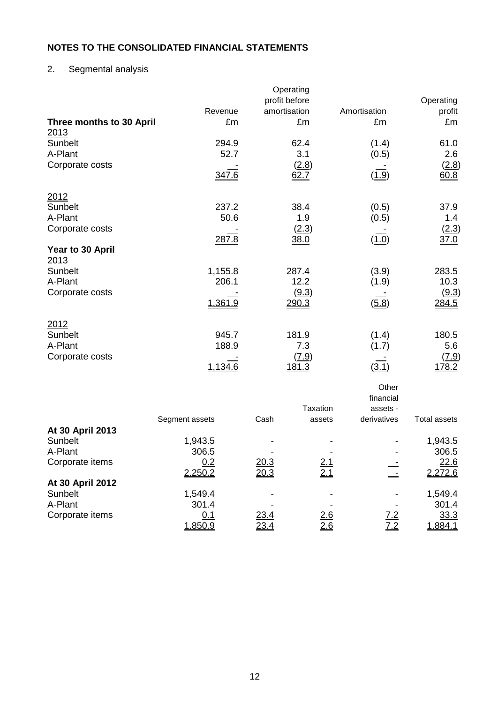# 2. Segmental analysis

|                          |               | Operating          |                    |                |
|--------------------------|---------------|--------------------|--------------------|----------------|
|                          |               | profit before      |                    | Operating      |
| Three months to 30 April | Revenue<br>£m | amortisation<br>£m | Amortisation<br>£m | profit<br>£m   |
| 2013                     |               |                    |                    |                |
| Sunbelt                  | 294.9         | 62.4               | (1.4)              | 61.0           |
| A-Plant                  | 52.7          | 3.1                | (0.5)              | 2.6            |
| Corporate costs          |               | (2.8)              |                    | <u>(2.8)</u>   |
|                          | 347.6         | 62.7               | (1.9)              | 60.8           |
| 2012                     |               |                    |                    |                |
| Sunbelt                  | 237.2         | 38.4               | (0.5)              | 37.9           |
| A-Plant                  | 50.6          | 1.9                | (0.5)              | 1.4            |
| Corporate costs          |               | (2.3)              |                    | (2.3)          |
| Year to 30 April         | 287.8         | 38.0               | (1.0)              | 37.0           |
| 2013                     |               |                    |                    |                |
| Sunbelt                  | 1,155.8       | 287.4              | (3.9)              | 283.5          |
| A-Plant                  | 206.1         | 12.2               | (1.9)              | 10.3           |
| Corporate costs          | 1,361.9       | (9.3)<br>290.3     | (5.8)              | (9.3)<br>284.5 |
|                          |               |                    |                    |                |
| 2012                     |               |                    |                    |                |
| Sunbelt                  | 945.7         | 181.9              | (1.4)              | 180.5          |
| A-Plant                  | 188.9         | 7.3                | (1.7)              | 5.6            |
| Corporate costs          | 1,134.6       | (7.9)<br>181.3     | (3.1)              | (7.9)<br>178.2 |
|                          |               |                    | Other              |                |
|                          |               |                    | financial          |                |
|                          |               | <b>Taxation</b>    | assets -           |                |

|                  | Segment assets | Cash | assets     | derivatives | <b>Total assets</b> |
|------------------|----------------|------|------------|-------------|---------------------|
| At 30 April 2013 |                |      |            |             |                     |
| Sunbelt          | 1,943.5        |      |            | -           | 1,943.5             |
| A-Plant          | 306.5          |      |            | -           | 306.5               |
| Corporate items  | 0.2            | 20.3 | <u>2.1</u> |             | 22.6                |
|                  | 2,250.2        | 20.3 | <u>2.1</u> |             | 2,272.6             |
| At 30 April 2012 |                |      |            |             |                     |
| Sunbelt          | 1,549.4        |      |            |             | 1,549.4             |
| A-Plant          | 301.4          |      |            |             | 301.4               |
| Corporate items  | 0.1            | 23.4 | 2.6        | 7.2         | 33.3                |
|                  | 1,850.9        | 23.4 | 2.6        | <u>7.2</u>  | 1,884.1             |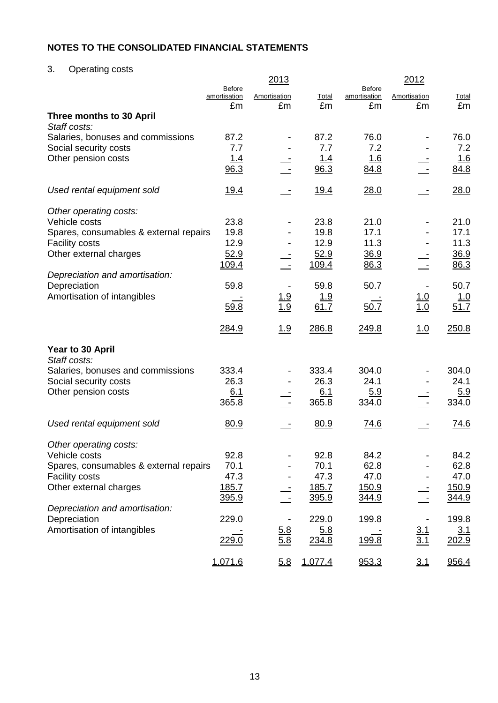3. Operating costs

|                                              |                               | 2013              |             |                        | 2012              |              |
|----------------------------------------------|-------------------------------|-------------------|-------------|------------------------|-------------------|--------------|
|                                              | <b>Before</b><br>amortisation | Amortisation      | Total       | Before<br>amortisation | Amortisation      | <b>Total</b> |
|                                              | £m                            | £m                | £m          | £m                     | £m                | £m           |
| Three months to 30 April                     |                               |                   |             |                        |                   |              |
| Staff costs:                                 |                               |                   |             |                        |                   |              |
| Salaries, bonuses and commissions            | 87.2<br>7.7                   |                   | 87.2<br>7.7 | 76.0<br>7.2            |                   | 76.0<br>7.2  |
| Social security costs<br>Other pension costs |                               |                   | <u>1.4</u>  | 1.6                    |                   | <u>1.6</u>   |
|                                              | <u> 1.4</u><br>96.3           |                   | 96.3        | 84.8                   |                   | 84.8         |
|                                              |                               |                   |             |                        |                   |              |
| Used rental equipment sold                   | <u>19.4</u>                   |                   | <u>19.4</u> | 28.0                   |                   | 28.0         |
| Other operating costs:                       |                               |                   |             |                        |                   |              |
| Vehicle costs                                | 23.8                          |                   | 23.8        | 21.0                   |                   | 21.0         |
| Spares, consumables & external repairs       | 19.8                          |                   | 19.8        | 17.1                   |                   | 17.1         |
| <b>Facility costs</b>                        | 12.9                          |                   | 12.9        | 11.3                   |                   | 11.3         |
| Other external charges                       | 52.9                          |                   | 52.9        | <u>36.9</u>            |                   | 36.9         |
|                                              | <u>109.4</u>                  |                   | 109.4       | 86.3                   |                   | 86.3         |
| Depreciation and amortisation:               |                               |                   |             |                        |                   |              |
| Depreciation                                 | 59.8                          |                   | 59.8        | 50.7                   |                   | 50.7         |
| Amortisation of intangibles                  |                               | $\frac{1.9}{1.9}$ | <u> 1.9</u> |                        | $\frac{1.0}{1.0}$ | <u>1.0</u>   |
|                                              | 59.8                          |                   | 61.7        | 50.7                   |                   | 51.7         |
|                                              | 284.9                         | 1.9               | 286.8       | 249.8                  | 1.0               | 250.8        |
| Year to 30 April                             |                               |                   |             |                        |                   |              |
| Staff costs:                                 |                               |                   |             |                        |                   |              |
| Salaries, bonuses and commissions            | 333.4                         |                   | 333.4       | 304.0                  |                   | 304.0        |
| Social security costs                        | 26.3                          |                   | 26.3        | 24.1                   |                   | 24.1         |
| Other pension costs                          | 6.1                           |                   | 6.1         | 5.9                    |                   | 5.9          |
|                                              | 365.8                         |                   | 365.8       | 334.0                  |                   | 334.0        |
|                                              |                               |                   |             |                        |                   |              |
| Used rental equipment sold                   | 80.9                          |                   | 80.9        | 74.6                   |                   | <u>74.6</u>  |
| Other operating costs:                       |                               |                   |             |                        |                   |              |
| Vehicle costs                                | 92.8                          |                   | 92.8        | 84.2                   |                   | 84.2         |
| Spares, consumables & external repairs       | 70.1                          |                   | 70.1        | 62.8                   |                   | 62.8         |
| <b>Facility costs</b>                        | 47.3                          |                   | 47.3        | 47.0                   |                   | 47.0         |
| Other external charges                       | <u>185.7</u>                  |                   | 185.7       | <u>150.9</u>           |                   | 150.9        |
|                                              | 395.9                         |                   | 395.9       | 344.9                  |                   | 344.9        |
| Depreciation and amortisation:               |                               |                   |             |                        |                   |              |
| Depreciation                                 | 229.0                         |                   | 229.0       | 199.8                  |                   | 199.8        |
| Amortisation of intangibles                  |                               | <u>5.8</u>        | 5.8         |                        | $\frac{3.1}{3.1}$ | <u>3.1</u>   |
|                                              | 229.0                         | 5.8               | 234.8       | 199.8                  |                   | 202.9        |
|                                              | 1,071.6                       | 5.8               | 1,077.4     | 953.3                  | 3.1               | 956.4        |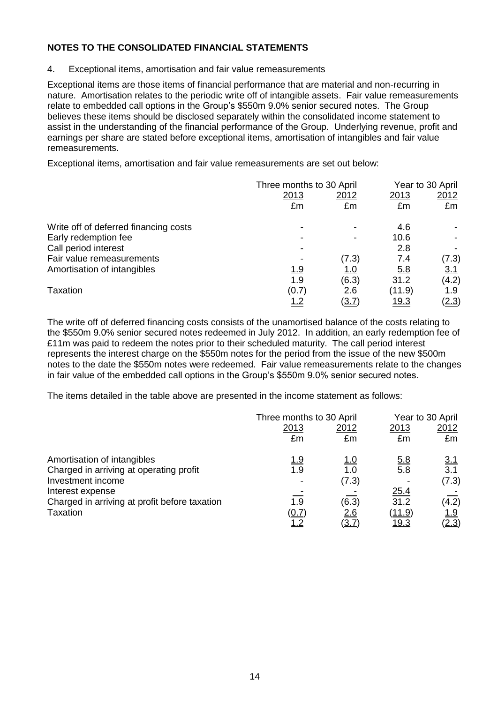4. Exceptional items, amortisation and fair value remeasurements

Exceptional items are those items of financial performance that are material and non-recurring in nature. Amortisation relates to the periodic write off of intangible assets. Fair value remeasurements relate to embedded call options in the Group's \$550m 9.0% senior secured notes. The Group believes these items should be disclosed separately within the consolidated income statement to assist in the understanding of the financial performance of the Group. Underlying revenue, profit and earnings per share are stated before exceptional items, amortisation of intangibles and fair value remeasurements.

Exceptional items, amortisation and fair value remeasurements are set out below:

|                                       | Three months to 30 April |            | Year to 30 April |              |
|---------------------------------------|--------------------------|------------|------------------|--------------|
|                                       | 2013                     | 2012       | 2013             | 2012         |
|                                       | £m                       | £m         | £m               | £m           |
| Write off of deferred financing costs |                          |            | 4.6              |              |
| Early redemption fee                  |                          |            | 10.6             |              |
| Call period interest                  |                          |            | 2.8              |              |
| Fair value remeasurements             |                          | (7.3)      | 7.4              | (7.3)        |
| Amortisation of intangibles           | <u> 1.9</u>              | <u>1.0</u> | <u>5.8</u>       | <u>3.1</u>   |
|                                       | 1.9                      | (6.3)      | 31.2             | (4.2)        |
| Taxation                              | (0.7)                    | <u>2.6</u> | <u>(11.9)</u>    | <u> 1.9</u>  |
|                                       |                          | (3.7       | <u> 19.3</u>     | <u>(2.3)</u> |

The write off of deferred financing costs consists of the unamortised balance of the costs relating to the \$550m 9.0% senior secured notes redeemed in July 2012. In addition, an early redemption fee of £11m was paid to redeem the notes prior to their scheduled maturity. The call period interest represents the interest charge on the \$550m notes for the period from the issue of the new \$500m notes to the date the \$550m notes were redeemed. Fair value remeasurements relate to the changes in fair value of the embedded call options in the Group's \$550m 9.0% senior secured notes.

The items detailed in the table above are presented in the income statement as follows:

|                                               |             | Three months to 30 April |               | Year to 30 April |
|-----------------------------------------------|-------------|--------------------------|---------------|------------------|
|                                               | 2013<br>£m  | <u>2012</u><br>£m        | 2013<br>£m    | 2012<br>£m       |
|                                               |             |                          |               |                  |
| Amortisation of intangibles                   | <u> 1.9</u> | <u>1.0</u>               | <u>5.8</u>    | 3.1              |
| Charged in arriving at operating profit       | 1.9         | 1.0                      | 5.8           | 3.1              |
| Investment income                             |             | (7.3)                    |               | (7.3)            |
| Interest expense                              |             |                          | 25.4          |                  |
| Charged in arriving at profit before taxation | 1.9         | (6.3)                    | 31.2          | (4.2)            |
| <b>Taxation</b>                               | (0.7)       | 2.6                      | <u>(11.9)</u> | <u> 1.9</u>      |
|                                               | <u>1.2</u>  | <u>(3.7</u>              | <u> 19.3</u>  | <u>(2.3)</u>     |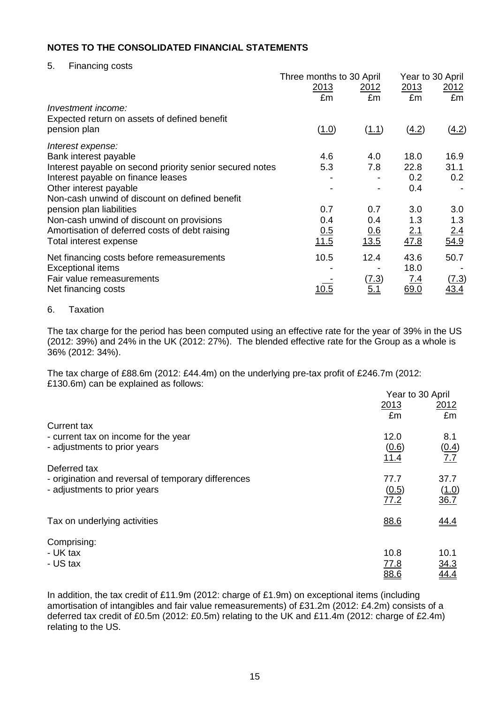5. Financing costs

|                                                          | Three months to 30 April |              | Year to 30 April |             |
|----------------------------------------------------------|--------------------------|--------------|------------------|-------------|
|                                                          | 2013<br><u> 2012 </u>    |              | 2013<br>2012     |             |
|                                                          | £m                       | £m           | £m               | £m          |
| Investment income:                                       |                          |              |                  |             |
| Expected return on assets of defined benefit             |                          |              |                  |             |
| pension plan                                             | (1.0)                    | (1.1)        | (4.2)            | (4.2)       |
| Interest expense:                                        |                          |              |                  |             |
| Bank interest payable                                    | 4.6                      | 4.0          | 18.0             | 16.9        |
| Interest payable on second priority senior secured notes | 5.3                      | 7.8          | 22.8             | 31.1        |
| Interest payable on finance leases                       |                          |              | 0.2              | 0.2         |
| Other interest payable                                   |                          |              | 0.4              |             |
| Non-cash unwind of discount on defined benefit           |                          |              |                  |             |
| pension plan liabilities                                 | 0.7                      | 0.7          | 3.0              | 3.0         |
| Non-cash unwind of discount on provisions                | 0.4                      | 0.4          | 1.3              | 1.3         |
| Amortisation of deferred costs of debt raising           | 0.5                      | 0.6          | 2.1              | 2.4         |
| Total interest expense                                   | 11.5                     | 13.5         | 47.8             | 54.9        |
| Net financing costs before remeasurements                | 10.5                     | 12.4         | 43.6             | 50.7        |
| <b>Exceptional items</b>                                 |                          |              | 18.0             |             |
| Fair value remeasurements                                |                          | <u>(7.3)</u> | <u>7.4</u>       | (7.3)       |
| Net financing costs                                      | 10.5                     | 5.1          | 69.0             | <u>43.4</u> |

## 6. Taxation

The tax charge for the period has been computed using an effective rate for the year of 39% in the US (2012: 39%) and 24% in the UK (2012: 27%). The blended effective rate for the Group as a whole is 36% (2012: 34%).

The tax charge of £88.6m (2012: £44.4m) on the underlying pre-tax profit of £246.7m (2012: £130.6m) can be explained as follows:

|                                                                      | Year to 30 April |              |
|----------------------------------------------------------------------|------------------|--------------|
|                                                                      | 2013             | 2012         |
|                                                                      | £m               | £m           |
| <b>Current tax</b>                                                   | 12.0             | 8.1          |
| - current tax on income for the year<br>- adjustments to prior years |                  |              |
|                                                                      | (0.6)<br>11.4    | (0.4)<br>7.7 |
| Deferred tax                                                         |                  |              |
| - origination and reversal of temporary differences                  | 77.7             | 37.7         |
| - adjustments to prior years                                         | (0.5)            | (1.0)        |
|                                                                      | 77.2             | 36.7         |
|                                                                      |                  |              |
| Tax on underlying activities                                         | 88.6             | 44.4         |
|                                                                      |                  |              |
| Comprising:                                                          |                  |              |
| - UK tax                                                             | 10.8             | 10.1         |
| - US tax                                                             | 77.8             | 34.3         |
|                                                                      | 88.6             | 44.4         |

In addition, the tax credit of £11.9m (2012: charge of £1.9m) on exceptional items (including amortisation of intangibles and fair value remeasurements) of £31.2m (2012: £4.2m) consists of a deferred tax credit of £0.5m (2012: £0.5m) relating to the UK and £11.4m (2012: charge of £2.4m) relating to the US.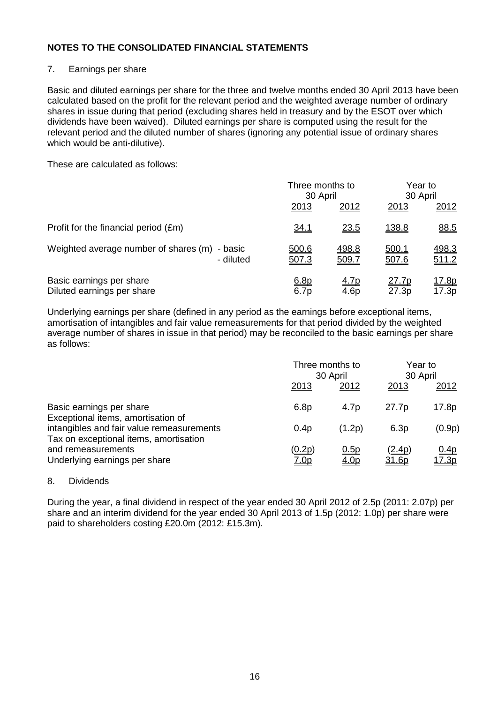## 7. Earnings per share

Basic and diluted earnings per share for the three and twelve months ended 30 April 2013 have been calculated based on the profit for the relevant period and the weighted average number of ordinary shares in issue during that period (excluding shares held in treasury and by the ESOT over which dividends have been waived). Diluted earnings per share is computed using the result for the relevant period and the diluted number of shares (ignoring any potential issue of ordinary shares which would be anti-dilutive).

These are calculated as follows:

|                                                            | Three months to<br>30 April |                     | Year to<br>30 April          |                               |
|------------------------------------------------------------|-----------------------------|---------------------|------------------------------|-------------------------------|
|                                                            | 2013                        | 2012                | 2013                         | 2012                          |
| Profit for the financial period (£m)                       | <u>34.1</u>                 | <u>23.5</u>         | 138.8                        | 88.5                          |
| Weighted average number of shares (m) - basic<br>- diluted | 500.6<br>507.3              | 498.8<br>509.7      | <u>500.1</u><br>507.6        | 498.3<br>511.2                |
| Basic earnings per share<br>Diluted earnings per share     | 6.8p<br>6.7p                | <u>4.7p</u><br>4.6p | <u>27.7p</u><br><u>27.3p</u> | <u> 17.8p</u><br><u>17.3p</u> |

Underlying earnings per share (defined in any period as the earnings before exceptional items, amortisation of intangibles and fair value remeasurements for that period divided by the weighted average number of shares in issue in that period) may be reconciled to the basic earnings per share as follows:

|                                                                                     |                       | Three months to<br>30 April |                   | Year to<br>30 April  |  |
|-------------------------------------------------------------------------------------|-----------------------|-----------------------------|-------------------|----------------------|--|
|                                                                                     | 2013                  | 2012                        | 2013              | 2012                 |  |
| Basic earnings per share<br>Exceptional items, amortisation of                      | 6.8p                  | 4.7 <sub>p</sub>            | 27.7 <sub>p</sub> | 17.8p                |  |
| intangibles and fair value remeasurements<br>Tax on exceptional items, amortisation | 0.4p                  | (1.2p)                      | 6.3p              | (0.9p)               |  |
| and remeasurements<br>Underlying earnings per share                                 | (0.2p)<br><u>7.0p</u> | 0.5p<br><u>4.0p</u>         | (2.4p)<br>31.6p   | 0.4p<br><u>17.3p</u> |  |

#### 8. Dividends

During the year, a final dividend in respect of the year ended 30 April 2012 of 2.5p (2011: 2.07p) per share and an interim dividend for the year ended 30 April 2013 of 1.5p (2012: 1.0p) per share were paid to shareholders costing £20.0m (2012: £15.3m).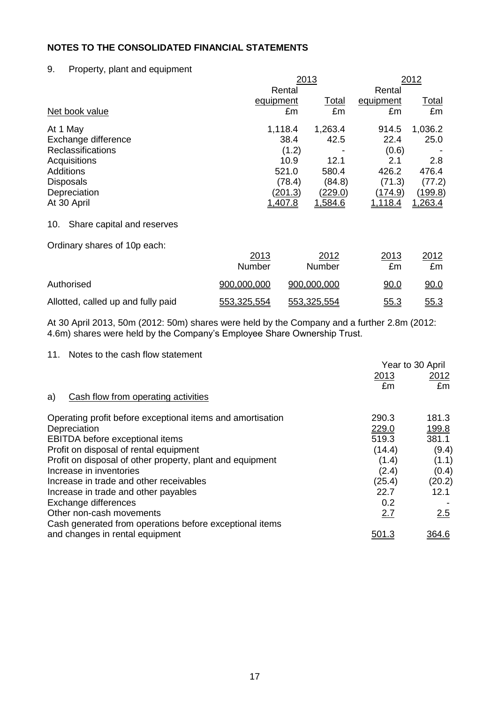## 9. Property, plant and equipment

|                                   |           | 2013    |                | 2012         |
|-----------------------------------|-----------|---------|----------------|--------------|
|                                   | Rental    |         | Rental         |              |
|                                   | equipment | Total   | equipment      | <u>Total</u> |
| Net book value                    | £m        | £m      | £m             | £m           |
| At 1 May                          | 1,118.4   | 1,263.4 | 914.5          | 1,036.2      |
| Exchange difference               | 38.4      | 42.5    | 22.4           | 25.0         |
| <b>Reclassifications</b>          | (1.2)     |         | (0.6)          |              |
| Acquisitions                      | 10.9      | 12.1    | 2.1            | 2.8          |
| Additions                         | 521.0     | 580.4   | 426.2          | 476.4        |
| <b>Disposals</b>                  | (78.4)    | (84.8)  | (71.3)         | (77.2)       |
| Depreciation                      | (201.3)   | (229.0) | (174.9)        | (199.8)      |
| At 30 April                       | 1,407.8   | 1,584.6 | <u>1,118.4</u> | 1,263.4      |
| Share capital and reserves<br>10. |           |         |                |              |
| Ordinary shares of 10p each:      |           |         |                |              |
|                                   | 2013      | 2012    | 2013           | 2012         |

|                                    | Number      | $ -$<br>Number | ---<br>£m   | $-\circ$ . $-$<br>£m |
|------------------------------------|-------------|----------------|-------------|----------------------|
| Authorised                         | 900,000,000 | 900,000,000    | 90.0        | <u>90.0</u>          |
| Allotted, called up and fully paid | 553,325,554 | 553,325,554    | <u>55.3</u> | <u>55.3</u>          |

At 30 April 2013, 50m (2012: 50m) shares were held by the Company and a further 2.8m (2012: 4.6m) shares were held by the Company's Employee Share Ownership Trust.

11. Notes to the cash flow statement

|                                                            | Year to 30 April |        |
|------------------------------------------------------------|------------------|--------|
|                                                            | 2013             | 2012   |
|                                                            | £m               | £m     |
| Cash flow from operating activities<br>a)                  |                  |        |
| Operating profit before exceptional items and amortisation | 290.3            | 181.3  |
| Depreciation                                               | 229.0            | 199.8  |
| EBITDA before exceptional items                            | 519.3            | 381.1  |
| Profit on disposal of rental equipment                     | (14.4)           | (9.4)  |
| Profit on disposal of other property, plant and equipment  | (1.4)            | (1.1)  |
| Increase in inventories                                    | (2.4)            | (0.4)  |
| Increase in trade and other receivables                    | (25.4)           | (20.2) |
| Increase in trade and other payables                       | 22.7             | 12.1   |
| Exchange differences                                       | 0.2              |        |
| Other non-cash movements                                   | 2.7              | 2.5    |
| Cash generated from operations before exceptional items    |                  |        |
| and changes in rental equipment                            | <u>501.3</u>     | 364.6  |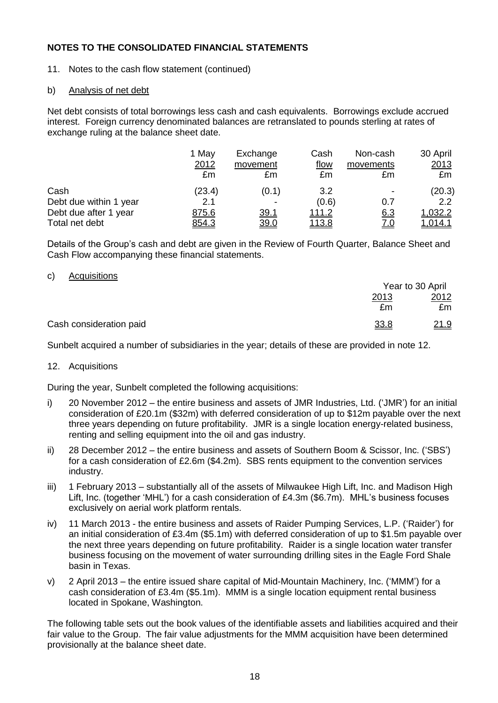11. Notes to the cash flow statement (continued)

## b) Analysis of net debt

Net debt consists of total borrowings less cash and cash equivalents. Borrowings exclude accrued interest. Foreign currency denominated balances are retranslated to pounds sterling at rates of exchange ruling at the balance sheet date.

|                        | 1 May<br>2012<br>£m | Exchange<br>movement<br>£m | Cash<br><u>flow</u><br>£m | Non-cash<br>movements<br>£m | 30 April<br>2013<br>£m |
|------------------------|---------------------|----------------------------|---------------------------|-----------------------------|------------------------|
| Cash                   | (23.4)              | (0.1)                      | 3.2                       | ٠                           | (20.3)                 |
| Debt due within 1 year | 2.1                 |                            | (0.6)                     | 0.7                         | $2.2^{\circ}$          |
| Debt due after 1 year  | 875.6               | 39.1                       | <u>111.2</u>              | <u>6.3</u>                  | 1,032.2                |
| Total net debt         | 854.3               | 39.0                       | <u>113.8</u>              | <u>7.0</u>                  | 1,014.1                |

Details of the Group's cash and debt are given in the Review of Fourth Quarter, Balance Sheet and Cash Flow accompanying these financial statements.

## c) Acquisitions

|                         |      | Year to 30 April |
|-------------------------|------|------------------|
|                         | 2013 | 2012             |
|                         | £m   | £m               |
| Cash consideration paid | 33.8 | 21.9             |

Sunbelt acquired a number of subsidiaries in the year; details of these are provided in note 12.

## 12. Acquisitions

During the year, Sunbelt completed the following acquisitions:

- i) 20 November 2012 the entire business and assets of JMR Industries, Ltd. ('JMR') for an initial consideration of £20.1m (\$32m) with deferred consideration of up to \$12m payable over the next three years depending on future profitability. JMR is a single location energy-related business, renting and selling equipment into the oil and gas industry.
- ii) 28 December 2012 the entire business and assets of Southern Boom & Scissor, Inc. ('SBS') for a cash consideration of £2.6m (\$4.2m). SBS rents equipment to the convention services industry.
- iii) 1 February 2013 substantially all of the assets of Milwaukee High Lift, Inc. and Madison High Lift, Inc. (together 'MHL') for a cash consideration of £4.3m (\$6.7m). MHL's business focuses exclusively on aerial work platform rentals.
- iv) 11 March 2013 the entire business and assets of Raider Pumping Services, L.P. ('Raider') for an initial consideration of £3.4m (\$5.1m) with deferred consideration of up to \$1.5m payable over the next three years depending on future profitability. Raider is a single location water transfer business focusing on the movement of water surrounding drilling sites in the Eagle Ford Shale basin in Texas.
- v) 2 April 2013 the entire issued share capital of Mid-Mountain Machinery, Inc. ('MMM') for a cash consideration of £3.4m (\$5.1m). MMM is a single location equipment rental business located in Spokane, Washington.

The following table sets out the book values of the identifiable assets and liabilities acquired and their fair value to the Group. The fair value adjustments for the MMM acquisition have been determined provisionally at the balance sheet date.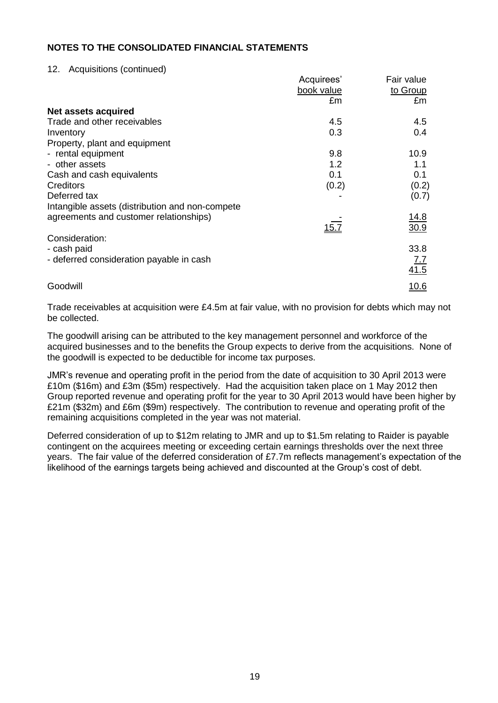### 12. Acquisitions (continued)

|                                                 | Acquirees' | Fair value      |
|-------------------------------------------------|------------|-----------------|
|                                                 | book value | to Group        |
|                                                 | £m         | £m              |
| Net assets acquired                             |            |                 |
| Trade and other receivables                     | 4.5        | 4.5             |
| Inventory                                       | 0.3        | 0.4             |
| Property, plant and equipment                   |            |                 |
| - rental equipment                              | 9.8        | 10.9            |
| - other assets                                  | 1.2        | 1.1             |
| Cash and cash equivalents                       | 0.1        | 0.1             |
| <b>Creditors</b>                                | (0.2)      | (0.2)           |
| Deferred tax                                    |            | (0.7)           |
| Intangible assets (distribution and non-compete |            |                 |
| agreements and customer relationships)          |            | <u> 14.8</u>    |
|                                                 | 15.7       | $\frac{30.9}{}$ |
| Consideration:                                  |            |                 |
| - cash paid                                     |            | 33.8            |
| - deferred consideration payable in cash        |            | 7.7             |
|                                                 |            | 41.5            |
| Goodwill                                        |            | <u>10.6</u>     |
|                                                 |            |                 |

Trade receivables at acquisition were £4.5m at fair value, with no provision for debts which may not be collected.

The goodwill arising can be attributed to the key management personnel and workforce of the acquired businesses and to the benefits the Group expects to derive from the acquisitions. None of the goodwill is expected to be deductible for income tax purposes.

JMR's revenue and operating profit in the period from the date of acquisition to 30 April 2013 were £10m (\$16m) and £3m (\$5m) respectively. Had the acquisition taken place on 1 May 2012 then Group reported revenue and operating profit for the year to 30 April 2013 would have been higher by £21m (\$32m) and £6m (\$9m) respectively. The contribution to revenue and operating profit of the remaining acquisitions completed in the year was not material.

Deferred consideration of up to \$12m relating to JMR and up to \$1.5m relating to Raider is payable contingent on the acquirees meeting or exceeding certain earnings thresholds over the next three years. The fair value of the deferred consideration of £7.7m reflects management's expectation of the likelihood of the earnings targets being achieved and discounted at the Group's cost of debt.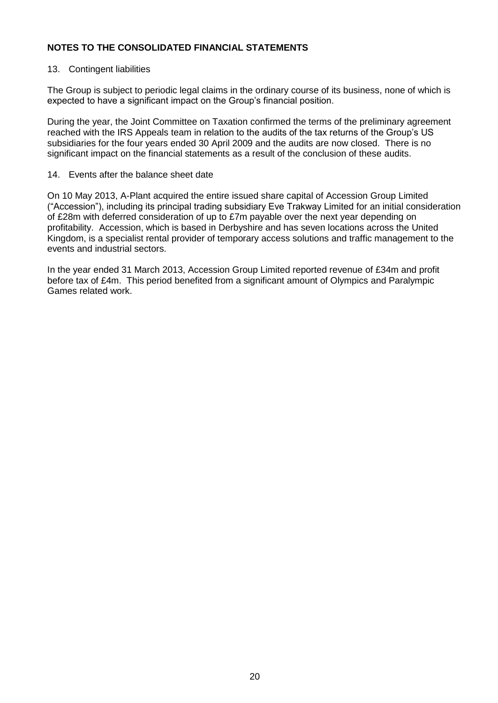## 13. Contingent liabilities

The Group is subject to periodic legal claims in the ordinary course of its business, none of which is expected to have a significant impact on the Group's financial position.

During the year, the Joint Committee on Taxation confirmed the terms of the preliminary agreement reached with the IRS Appeals team in relation to the audits of the tax returns of the Group's US subsidiaries for the four years ended 30 April 2009 and the audits are now closed. There is no significant impact on the financial statements as a result of the conclusion of these audits.

### 14. Events after the balance sheet date

On 10 May 2013, A-Plant acquired the entire issued share capital of Accession Group Limited ("Accession"), including its principal trading subsidiary Eve Trakway Limited for an initial consideration of £28m with deferred consideration of up to £7m payable over the next year depending on profitability. Accession, which is based in Derbyshire and has seven locations across the United Kingdom, is a specialist rental provider of temporary access solutions and traffic management to the events and industrial sectors.

In the year ended 31 March 2013, Accession Group Limited reported revenue of £34m and profit before tax of £4m. This period benefited from a significant amount of Olympics and Paralympic Games related work.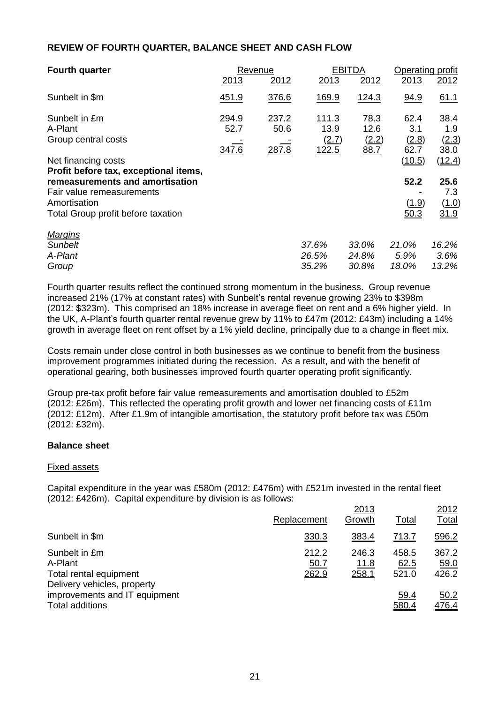## **REVIEW OF FOURTH QUARTER, BALANCE SHEET AND CASH FLOW**

| <b>Fourth quarter</b>                                        | Revenue       |               | <b>EBITDA</b>          |                       | Operating profit     |                              |
|--------------------------------------------------------------|---------------|---------------|------------------------|-----------------------|----------------------|------------------------------|
|                                                              | 2013          | 2012          | 2013                   | 2012                  | 2013                 | 2012                         |
| Sunbelt in \$m                                               | 451.9         | 376.6         | 169.9                  | <u>124.3</u>          | 94.9                 | 61.1                         |
| Sunbelt in £m<br>A-Plant<br>Group central costs              | 294.9<br>52.7 | 237.2<br>50.6 | 111.3<br>13.9<br>(2.7) | 78.3<br>12.6<br>(2.2) | 62.4<br>3.1<br>(2.8) | 38.4<br>1.9<br>(2.3)<br>38.0 |
| Net financing costs<br>Profit before tax, exceptional items, | 347.6         | 287.8         | 122.5                  | 88.7                  | 62.7<br>(10.5)       | (12.4)                       |
| remeasurements and amortisation<br>Fair value remeasurements |               |               |                        |                       | 52.2                 | 25.6<br>7.3                  |
| Amortisation<br>Total Group profit before taxation           |               |               |                        |                       | (1.9)<br>50.3        | (1.0)<br>31.9                |
| <b>Margins</b>                                               |               |               |                        |                       |                      |                              |
| <b>Sunbelt</b>                                               |               |               | 37.6%                  | 33.0%                 | 21.0%                | 16.2%                        |
| A-Plant                                                      |               |               | 26.5%                  | 24.8%                 | 5.9%                 | 3.6%                         |
| Group                                                        |               |               | 35.2%                  | 30.8%                 | 18.0%                | 13.2%                        |

Fourth quarter results reflect the continued strong momentum in the business. Group revenue increased 21% (17% at constant rates) with Sunbelt's rental revenue growing 23% to \$398m (2012: \$323m). This comprised an 18% increase in average fleet on rent and a 6% higher yield. In the UK, A-Plant's fourth quarter rental revenue grew by 11% to £47m (2012: £43m) including a 14% growth in average fleet on rent offset by a 1% yield decline, principally due to a change in fleet mix.

Costs remain under close control in both businesses as we continue to benefit from the business improvement programmes initiated during the recession. As a result, and with the benefit of operational gearing, both businesses improved fourth quarter operating profit significantly.

Group pre-tax profit before fair value remeasurements and amortisation doubled to £52m (2012: £26m). This reflected the operating profit growth and lower net financing costs of £11m (2012: £12m). After £1.9m of intangible amortisation, the statutory profit before tax was £50m (2012: £32m).

## **Balance sheet**

#### Fixed assets

Capital expenditure in the year was £580m (2012: £476m) with £521m invested in the rental fleet (2012: £426m). Capital expenditure by division is as follows:

|                                                                                   |                        | 2013                          |                        | 2012                   |
|-----------------------------------------------------------------------------------|------------------------|-------------------------------|------------------------|------------------------|
|                                                                                   | Replacement            | Growth                        | <b>Total</b>           | <u>Total</u>           |
| Sunbelt in \$m                                                                    | 330.3                  | 383.4                         | <u>713.7</u>           | 596.2                  |
| Sunbelt in £m<br>A-Plant<br>Total rental equipment<br>Delivery vehicles, property | 212.2<br>50.7<br>262.9 | 246.3<br><u>11.8</u><br>258.1 | 458.5<br>62.5<br>521.0 | 367.2<br>59.0<br>426.2 |
| improvements and IT equipment<br>Total additions                                  |                        |                               | 59.4<br>580.4          | 50.2<br>476.4          |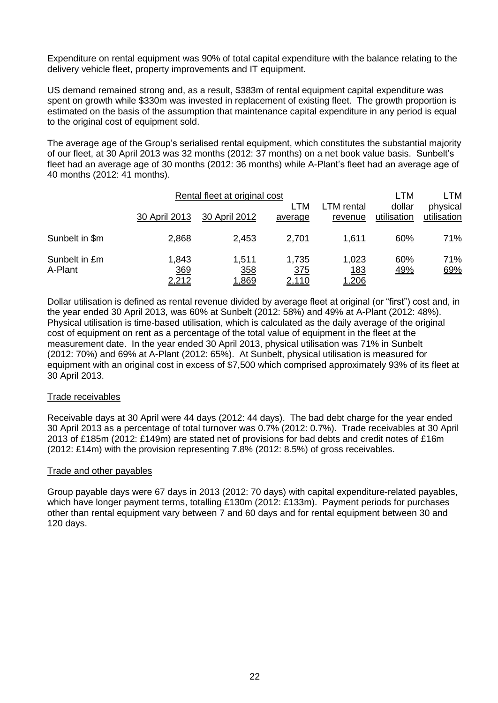Expenditure on rental equipment was 90% of total capital expenditure with the balance relating to the delivery vehicle fleet, property improvements and IT equipment.

US demand remained strong and, as a result, \$383m of rental equipment capital expenditure was spent on growth while \$330m was invested in replacement of existing fleet. The growth proportion is estimated on the basis of the assumption that maintenance capital expenditure in any period is equal to the original cost of equipment sold.

The average age of the Group's serialised rental equipment, which constitutes the substantial majority of our fleet, at 30 April 2013 was 32 months (2012: 37 months) on a net book value basis. Sunbelt's fleet had an average age of 30 months (2012: 36 months) while A-Plant's fleet had an average age of 40 months (2012: 41 months).

| Rental fleet at original cost |                       |                              |                              |                                     | LTM                   |                         |
|-------------------------------|-----------------------|------------------------------|------------------------------|-------------------------------------|-----------------------|-------------------------|
|                               | 30 April 2013         | 30 April 2012                | <b>LTM</b><br>average        | LTM rental<br>revenue               | dollar<br>utilisation | physical<br>utilisation |
| Sunbelt in \$m                | 2,868                 | 2,453                        | <u>2,701</u>                 | <u>1,611</u>                        | 60%                   | <u>71%</u>              |
| Sunbelt in £m<br>A-Plant      | 1,843<br>369<br>2,212 | 1,511<br>358<br><u>1,869</u> | 1,735<br><u>375</u><br>2,110 | 1,023<br><u>183</u><br><u>1,206</u> | 60%<br><u>49%</u>     | 71%<br>69%              |

Dollar utilisation is defined as rental revenue divided by average fleet at original (or "first") cost and, in the year ended 30 April 2013, was 60% at Sunbelt (2012: 58%) and 49% at A-Plant (2012: 48%). Physical utilisation is time-based utilisation, which is calculated as the daily average of the original cost of equipment on rent as a percentage of the total value of equipment in the fleet at the measurement date. In the year ended 30 April 2013, physical utilisation was 71% in Sunbelt (2012: 70%) and 69% at A-Plant (2012: 65%). At Sunbelt, physical utilisation is measured for equipment with an original cost in excess of \$7,500 which comprised approximately 93% of its fleet at 30 April 2013.

#### Trade receivables

Receivable days at 30 April were 44 days (2012: 44 days). The bad debt charge for the year ended 30 April 2013 as a percentage of total turnover was 0.7% (2012: 0.7%). Trade receivables at 30 April 2013 of £185m (2012: £149m) are stated net of provisions for bad debts and credit notes of £16m (2012: £14m) with the provision representing 7.8% (2012: 8.5%) of gross receivables.

#### Trade and other payables

Group payable days were 67 days in 2013 (2012: 70 days) with capital expenditure-related payables, which have longer payment terms, totalling £130m (2012: £133m). Payment periods for purchases other than rental equipment vary between 7 and 60 days and for rental equipment between 30 and 120 days.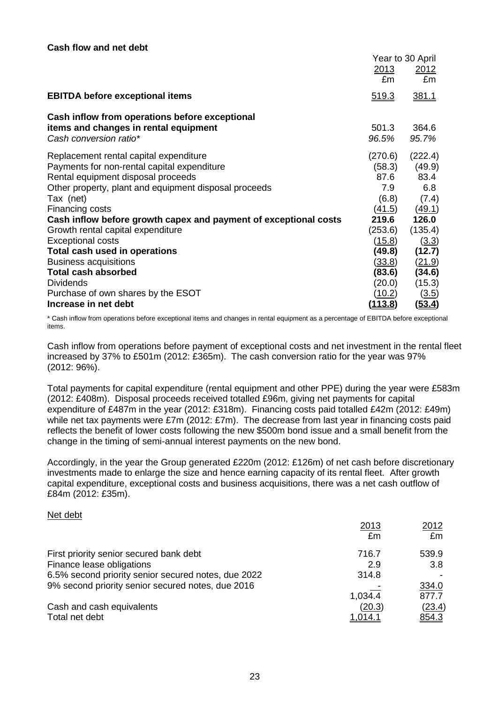|                                                                  |                | Year to 30 April |
|------------------------------------------------------------------|----------------|------------------|
|                                                                  | 2013           | 2012             |
|                                                                  | £m             | £m               |
| <b>EBITDA before exceptional items</b>                           | 519.3          | <u>381.1</u>     |
| Cash inflow from operations before exceptional                   |                |                  |
| items and changes in rental equipment                            | 501.3          | 364.6            |
| Cash conversion ratio*                                           | 96.5%          | 95.7%            |
| Replacement rental capital expenditure                           | (270.6)        | (222.4)          |
| Payments for non-rental capital expenditure                      | (58.3)         | (49.9)           |
| Rental equipment disposal proceeds                               | 87.6           | 83.4             |
| Other property, plant and equipment disposal proceeds            | 7.9            | 6.8              |
| Tax (net)                                                        | (6.8)          | (7.4)            |
| Financing costs                                                  | (41.5)         | (49.1)           |
| Cash inflow before growth capex and payment of exceptional costs | 219.6          | 126.0            |
| Growth rental capital expenditure                                | (253.6)        | (135.4)          |
| <b>Exceptional costs</b>                                         | (15.8)         | (3.3)            |
| Total cash used in operations                                    | (49.8)         | (12.7)           |
| <b>Business acquisitions</b>                                     | <u>(33.8)</u>  | (21.9)           |
| <b>Total cash absorbed</b>                                       | (83.6)         | (34.6)           |
| <b>Dividends</b>                                                 | (20.0)         | (15.3)           |
| Purchase of own shares by the ESOT                               | <u>(10.2)</u>  | (3.5)            |
| Increase in net debt                                             | <u>(113.8)</u> | <u>(53.4)</u>    |

\* Cash inflow from operations before exceptional items and changes in rental equipment as a percentage of EBITDA before exceptional items.

Cash inflow from operations before payment of exceptional costs and net investment in the rental fleet increased by 37% to £501m (2012: £365m). The cash conversion ratio for the year was 97% (2012: 96%).

Total payments for capital expenditure (rental equipment and other PPE) during the year were £583m (2012: £408m). Disposal proceeds received totalled £96m, giving net payments for capital expenditure of £487m in the year (2012: £318m). Financing costs paid totalled £42m (2012: £49m) while net tax payments were £7m (2012: £7m). The decrease from last year in financing costs paid reflects the benefit of lower costs following the new \$500m bond issue and a small benefit from the change in the timing of semi-annual interest payments on the new bond.

Accordingly, in the year the Group generated £220m (2012: £126m) of net cash before discretionary investments made to enlarge the size and hence earning capacity of its rental fleet. After growth capital expenditure, exceptional costs and business acquisitions, there was a net cash outflow of £84m (2012: £35m).

#### Net debt

|                                                     | 2013    | 2012   |
|-----------------------------------------------------|---------|--------|
|                                                     | £m      | £m     |
| First priority senior secured bank debt             | 716.7   | 539.9  |
| Finance lease obligations                           | 2.9     | 3.8    |
| 6.5% second priority senior secured notes, due 2022 | 314.8   |        |
| 9% second priority senior secured notes, due 2016   |         | 334.0  |
|                                                     | 1,034.4 | 877.7  |
| Cash and cash equivalents                           | (20.3)  | (23.4) |
| Total net debt                                      |         | 854.3  |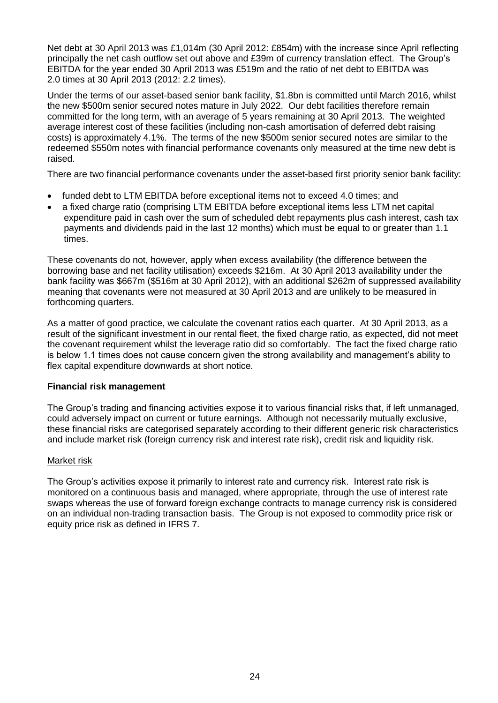Net debt at 30 April 2013 was £1,014m (30 April 2012: £854m) with the increase since April reflecting principally the net cash outflow set out above and £39m of currency translation effect. The Group's EBITDA for the year ended 30 April 2013 was £519m and the ratio of net debt to EBITDA was 2.0 times at 30 April 2013 (2012: 2.2 times).

Under the terms of our asset-based senior bank facility, \$1.8bn is committed until March 2016, whilst the new \$500m senior secured notes mature in July 2022. Our debt facilities therefore remain committed for the long term, with an average of 5 years remaining at 30 April 2013. The weighted average interest cost of these facilities (including non-cash amortisation of deferred debt raising costs) is approximately 4.1%. The terms of the new \$500m senior secured notes are similar to the redeemed \$550m notes with financial performance covenants only measured at the time new debt is raised.

There are two financial performance covenants under the asset-based first priority senior bank facility:

- funded debt to LTM EBITDA before exceptional items not to exceed 4.0 times; and
- a fixed charge ratio (comprising LTM EBITDA before exceptional items less LTM net capital expenditure paid in cash over the sum of scheduled debt repayments plus cash interest, cash tax payments and dividends paid in the last 12 months) which must be equal to or greater than 1.1 times.

These covenants do not, however, apply when excess availability (the difference between the borrowing base and net facility utilisation) exceeds \$216m. At 30 April 2013 availability under the bank facility was \$667m (\$516m at 30 April 2012), with an additional \$262m of suppressed availability meaning that covenants were not measured at 30 April 2013 and are unlikely to be measured in forthcoming quarters.

As a matter of good practice, we calculate the covenant ratios each quarter. At 30 April 2013, as a result of the significant investment in our rental fleet, the fixed charge ratio, as expected, did not meet the covenant requirement whilst the leverage ratio did so comfortably. The fact the fixed charge ratio is below 1.1 times does not cause concern given the strong availability and management's ability to flex capital expenditure downwards at short notice.

## **Financial risk management**

The Group's trading and financing activities expose it to various financial risks that, if left unmanaged, could adversely impact on current or future earnings. Although not necessarily mutually exclusive, these financial risks are categorised separately according to their different generic risk characteristics and include market risk (foreign currency risk and interest rate risk), credit risk and liquidity risk.

## Market risk

The Group's activities expose it primarily to interest rate and currency risk. Interest rate risk is monitored on a continuous basis and managed, where appropriate, through the use of interest rate swaps whereas the use of forward foreign exchange contracts to manage currency risk is considered on an individual non-trading transaction basis. The Group is not exposed to commodity price risk or equity price risk as defined in IFRS 7.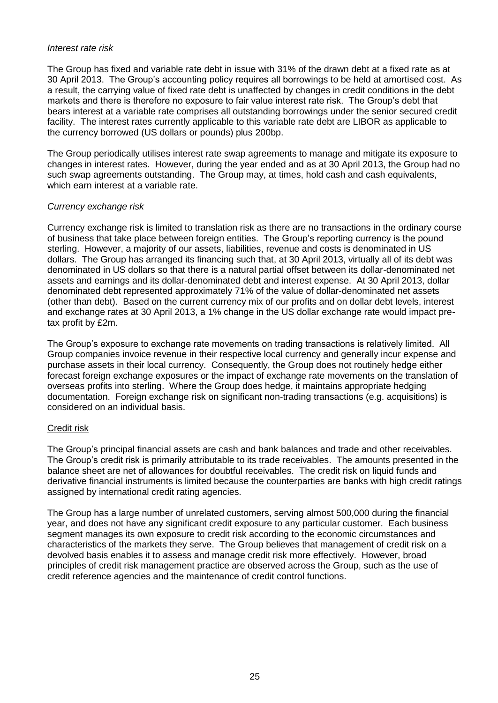#### *Interest rate risk*

The Group has fixed and variable rate debt in issue with 31% of the drawn debt at a fixed rate as at 30 April 2013. The Group's accounting policy requires all borrowings to be held at amortised cost. As a result, the carrying value of fixed rate debt is unaffected by changes in credit conditions in the debt markets and there is therefore no exposure to fair value interest rate risk. The Group's debt that bears interest at a variable rate comprises all outstanding borrowings under the senior secured credit facility. The interest rates currently applicable to this variable rate debt are LIBOR as applicable to the currency borrowed (US dollars or pounds) plus 200bp.

The Group periodically utilises interest rate swap agreements to manage and mitigate its exposure to changes in interest rates. However, during the year ended and as at 30 April 2013, the Group had no such swap agreements outstanding. The Group may, at times, hold cash and cash equivalents, which earn interest at a variable rate.

## *Currency exchange risk*

Currency exchange risk is limited to translation risk as there are no transactions in the ordinary course of business that take place between foreign entities. The Group's reporting currency is the pound sterling. However, a majority of our assets, liabilities, revenue and costs is denominated in US dollars. The Group has arranged its financing such that, at 30 April 2013, virtually all of its debt was denominated in US dollars so that there is a natural partial offset between its dollar-denominated net assets and earnings and its dollar-denominated debt and interest expense. At 30 April 2013, dollar denominated debt represented approximately 71% of the value of dollar-denominated net assets (other than debt). Based on the current currency mix of our profits and on dollar debt levels, interest and exchange rates at 30 April 2013, a 1% change in the US dollar exchange rate would impact pretax profit by £2m.

The Group's exposure to exchange rate movements on trading transactions is relatively limited. All Group companies invoice revenue in their respective local currency and generally incur expense and purchase assets in their local currency. Consequently, the Group does not routinely hedge either forecast foreign exchange exposures or the impact of exchange rate movements on the translation of overseas profits into sterling. Where the Group does hedge, it maintains appropriate hedging documentation. Foreign exchange risk on significant non-trading transactions (e.g. acquisitions) is considered on an individual basis.

## Credit risk

The Group's principal financial assets are cash and bank balances and trade and other receivables. The Group's credit risk is primarily attributable to its trade receivables. The amounts presented in the balance sheet are net of allowances for doubtful receivables. The credit risk on liquid funds and derivative financial instruments is limited because the counterparties are banks with high credit ratings assigned by international credit rating agencies.

The Group has a large number of unrelated customers, serving almost 500,000 during the financial year, and does not have any significant credit exposure to any particular customer. Each business segment manages its own exposure to credit risk according to the economic circumstances and characteristics of the markets they serve. The Group believes that management of credit risk on a devolved basis enables it to assess and manage credit risk more effectively. However, broad principles of credit risk management practice are observed across the Group, such as the use of credit reference agencies and the maintenance of credit control functions.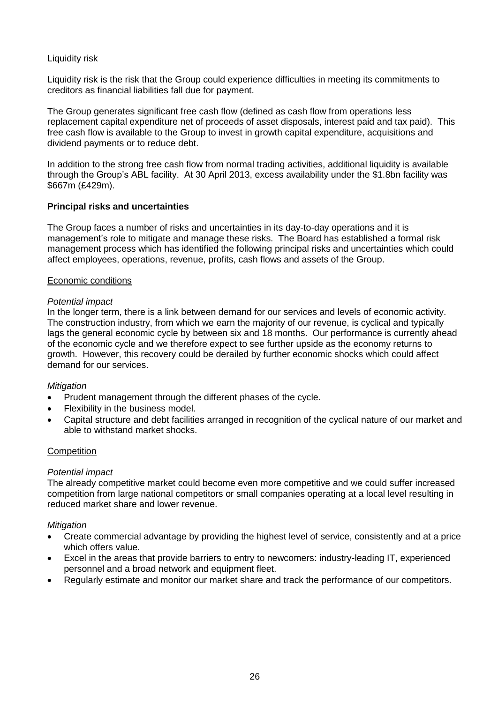## Liquidity risk

Liquidity risk is the risk that the Group could experience difficulties in meeting its commitments to creditors as financial liabilities fall due for payment.

The Group generates significant free cash flow (defined as cash flow from operations less replacement capital expenditure net of proceeds of asset disposals, interest paid and tax paid). This free cash flow is available to the Group to invest in growth capital expenditure, acquisitions and dividend payments or to reduce debt.

In addition to the strong free cash flow from normal trading activities, additional liquidity is available through the Group's ABL facility. At 30 April 2013, excess availability under the \$1.8bn facility was \$667m (£429m).

## **Principal risks and uncertainties**

The Group faces a number of risks and uncertainties in its day-to-day operations and it is management's role to mitigate and manage these risks. The Board has established a formal risk management process which has identified the following principal risks and uncertainties which could affect employees, operations, revenue, profits, cash flows and assets of the Group.

#### Economic conditions

#### *Potential impact*

In the longer term, there is a link between demand for our services and levels of economic activity. The construction industry, from which we earn the majority of our revenue, is cyclical and typically lags the general economic cycle by between six and 18 months. Our performance is currently ahead of the economic cycle and we therefore expect to see further upside as the economy returns to growth. However, this recovery could be derailed by further economic shocks which could affect demand for our services.

## *Mitigation*

- Prudent management through the different phases of the cycle.
- Flexibility in the business model.
- Capital structure and debt facilities arranged in recognition of the cyclical nature of our market and able to withstand market shocks.

#### **Competition**

#### *Potential impact*

The already competitive market could become even more competitive and we could suffer increased competition from large national competitors or small companies operating at a local level resulting in reduced market share and lower revenue.

#### *Mitigation*

- Create commercial advantage by providing the highest level of service, consistently and at a price which offers value.
- Excel in the areas that provide barriers to entry to newcomers: industry-leading IT, experienced personnel and a broad network and equipment fleet.
- Regularly estimate and monitor our market share and track the performance of our competitors.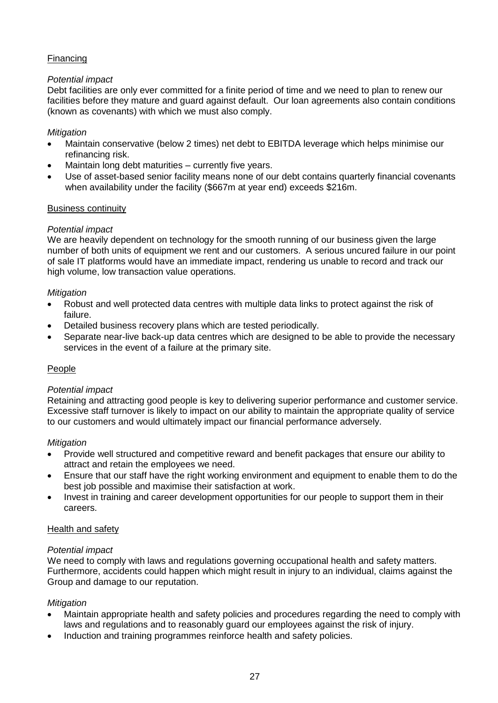## **Financing**

## *Potential impact*

Debt facilities are only ever committed for a finite period of time and we need to plan to renew our facilities before they mature and guard against default. Our loan agreements also contain conditions (known as covenants) with which we must also comply.

## *Mitigation*

- Maintain conservative (below 2 times) net debt to EBITDA leverage which helps minimise our refinancing risk.
- Maintain long debt maturities currently five years.
- Use of asset-based senior facility means none of our debt contains quarterly financial covenants when availability under the facility (\$667m at year end) exceeds \$216m.

## Business continuity

## *Potential impact*

We are heavily dependent on technology for the smooth running of our business given the large number of both units of equipment we rent and our customers. A serious uncured failure in our point of sale IT platforms would have an immediate impact, rendering us unable to record and track our high volume, low transaction value operations.

## *Mitigation*

- Robust and well protected data centres with multiple data links to protect against the risk of failure.
- Detailed business recovery plans which are tested periodically.
- Separate near-live back-up data centres which are designed to be able to provide the necessary services in the event of a failure at the primary site.

## People

## *Potential impact*

Retaining and attracting good people is key to delivering superior performance and customer service. Excessive staff turnover is likely to impact on our ability to maintain the appropriate quality of service to our customers and would ultimately impact our financial performance adversely.

## *Mitigation*

- Provide well structured and competitive reward and benefit packages that ensure our ability to attract and retain the employees we need.
- Ensure that our staff have the right working environment and equipment to enable them to do the best job possible and maximise their satisfaction at work.
- Invest in training and career development opportunities for our people to support them in their careers.

## Health and safety

## *Potential impact*

We need to comply with laws and regulations governing occupational health and safety matters. Furthermore, accidents could happen which might result in injury to an individual, claims against the Group and damage to our reputation.

## *Mitigation*

- Maintain appropriate health and safety policies and procedures regarding the need to comply with laws and regulations and to reasonably guard our employees against the risk of injury.
- Induction and training programmes reinforce health and safety policies.